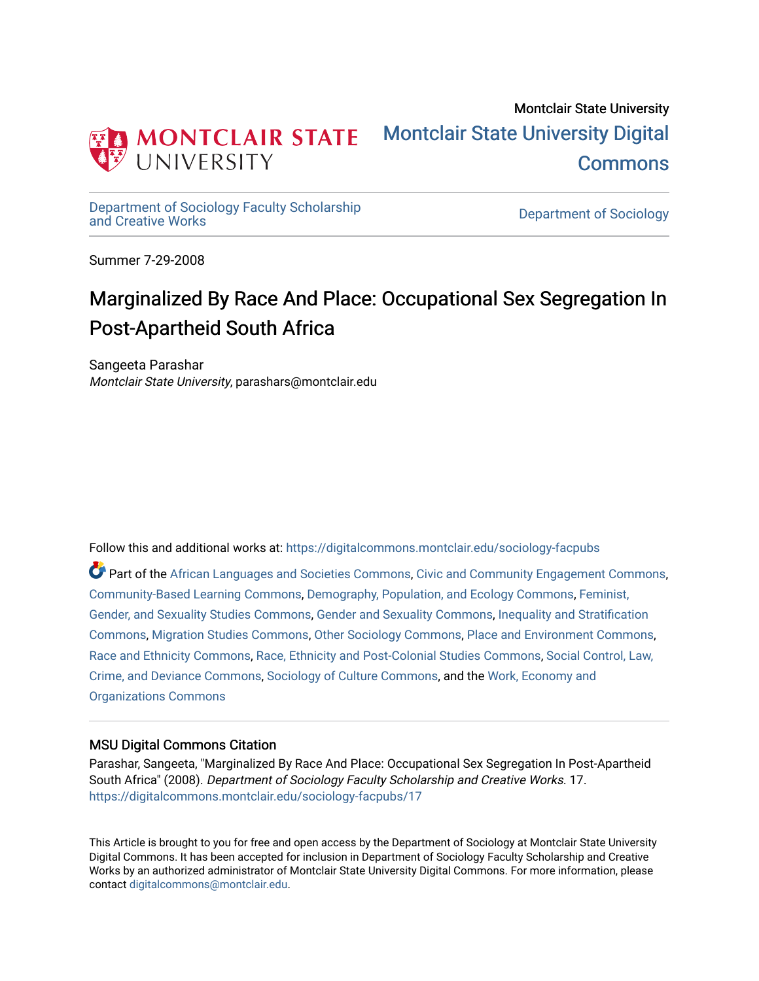

Montclair State University [Montclair State University Digital](https://digitalcommons.montclair.edu/)  [Commons](https://digitalcommons.montclair.edu/) 

[Department of Sociology Faculty Scholarship](https://digitalcommons.montclair.edu/sociology-facpubs)

Department of Sociology

Summer 7-29-2008

# Marginalized By Race And Place: Occupational Sex Segregation In Post-Apartheid South Africa

Sangeeta Parashar Montclair State University, parashars@montclair.edu

Follow this and additional works at: [https://digitalcommons.montclair.edu/sociology-facpubs](https://digitalcommons.montclair.edu/sociology-facpubs?utm_source=digitalcommons.montclair.edu%2Fsociology-facpubs%2F17&utm_medium=PDF&utm_campaign=PDFCoverPages)

Part of the [African Languages and Societies Commons,](http://network.bepress.com/hgg/discipline/476?utm_source=digitalcommons.montclair.edu%2Fsociology-facpubs%2F17&utm_medium=PDF&utm_campaign=PDFCoverPages) [Civic and Community Engagement Commons](http://network.bepress.com/hgg/discipline/1028?utm_source=digitalcommons.montclair.edu%2Fsociology-facpubs%2F17&utm_medium=PDF&utm_campaign=PDFCoverPages), [Community-Based Learning Commons](http://network.bepress.com/hgg/discipline/1046?utm_source=digitalcommons.montclair.edu%2Fsociology-facpubs%2F17&utm_medium=PDF&utm_campaign=PDFCoverPages), [Demography, Population, and Ecology Commons](http://network.bepress.com/hgg/discipline/418?utm_source=digitalcommons.montclair.edu%2Fsociology-facpubs%2F17&utm_medium=PDF&utm_campaign=PDFCoverPages), [Feminist,](http://network.bepress.com/hgg/discipline/559?utm_source=digitalcommons.montclair.edu%2Fsociology-facpubs%2F17&utm_medium=PDF&utm_campaign=PDFCoverPages)  [Gender, and Sexuality Studies Commons](http://network.bepress.com/hgg/discipline/559?utm_source=digitalcommons.montclair.edu%2Fsociology-facpubs%2F17&utm_medium=PDF&utm_campaign=PDFCoverPages), [Gender and Sexuality Commons,](http://network.bepress.com/hgg/discipline/420?utm_source=digitalcommons.montclair.edu%2Fsociology-facpubs%2F17&utm_medium=PDF&utm_campaign=PDFCoverPages) [Inequality and Stratification](http://network.bepress.com/hgg/discipline/421?utm_source=digitalcommons.montclair.edu%2Fsociology-facpubs%2F17&utm_medium=PDF&utm_campaign=PDFCoverPages) [Commons](http://network.bepress.com/hgg/discipline/421?utm_source=digitalcommons.montclair.edu%2Fsociology-facpubs%2F17&utm_medium=PDF&utm_campaign=PDFCoverPages), [Migration Studies Commons](http://network.bepress.com/hgg/discipline/1394?utm_source=digitalcommons.montclair.edu%2Fsociology-facpubs%2F17&utm_medium=PDF&utm_campaign=PDFCoverPages), [Other Sociology Commons](http://network.bepress.com/hgg/discipline/434?utm_source=digitalcommons.montclair.edu%2Fsociology-facpubs%2F17&utm_medium=PDF&utm_campaign=PDFCoverPages), [Place and Environment Commons,](http://network.bepress.com/hgg/discipline/424?utm_source=digitalcommons.montclair.edu%2Fsociology-facpubs%2F17&utm_medium=PDF&utm_campaign=PDFCoverPages) [Race and Ethnicity Commons](http://network.bepress.com/hgg/discipline/426?utm_source=digitalcommons.montclair.edu%2Fsociology-facpubs%2F17&utm_medium=PDF&utm_campaign=PDFCoverPages), [Race, Ethnicity and Post-Colonial Studies Commons,](http://network.bepress.com/hgg/discipline/566?utm_source=digitalcommons.montclair.edu%2Fsociology-facpubs%2F17&utm_medium=PDF&utm_campaign=PDFCoverPages) [Social Control, Law,](http://network.bepress.com/hgg/discipline/429?utm_source=digitalcommons.montclair.edu%2Fsociology-facpubs%2F17&utm_medium=PDF&utm_campaign=PDFCoverPages) [Crime, and Deviance Commons](http://network.bepress.com/hgg/discipline/429?utm_source=digitalcommons.montclair.edu%2Fsociology-facpubs%2F17&utm_medium=PDF&utm_campaign=PDFCoverPages), [Sociology of Culture Commons](http://network.bepress.com/hgg/discipline/431?utm_source=digitalcommons.montclair.edu%2Fsociology-facpubs%2F17&utm_medium=PDF&utm_campaign=PDFCoverPages), and the [Work, Economy and](http://network.bepress.com/hgg/discipline/433?utm_source=digitalcommons.montclair.edu%2Fsociology-facpubs%2F17&utm_medium=PDF&utm_campaign=PDFCoverPages) [Organizations Commons](http://network.bepress.com/hgg/discipline/433?utm_source=digitalcommons.montclair.edu%2Fsociology-facpubs%2F17&utm_medium=PDF&utm_campaign=PDFCoverPages)

### MSU Digital Commons Citation

Parashar, Sangeeta, "Marginalized By Race And Place: Occupational Sex Segregation In Post-Apartheid South Africa" (2008). Department of Sociology Faculty Scholarship and Creative Works. 17. [https://digitalcommons.montclair.edu/sociology-facpubs/17](https://digitalcommons.montclair.edu/sociology-facpubs/17?utm_source=digitalcommons.montclair.edu%2Fsociology-facpubs%2F17&utm_medium=PDF&utm_campaign=PDFCoverPages) 

This Article is brought to you for free and open access by the Department of Sociology at Montclair State University Digital Commons. It has been accepted for inclusion in Department of Sociology Faculty Scholarship and Creative Works by an authorized administrator of Montclair State University Digital Commons. For more information, please contact [digitalcommons@montclair.edu](mailto:digitalcommons@montclair.edu).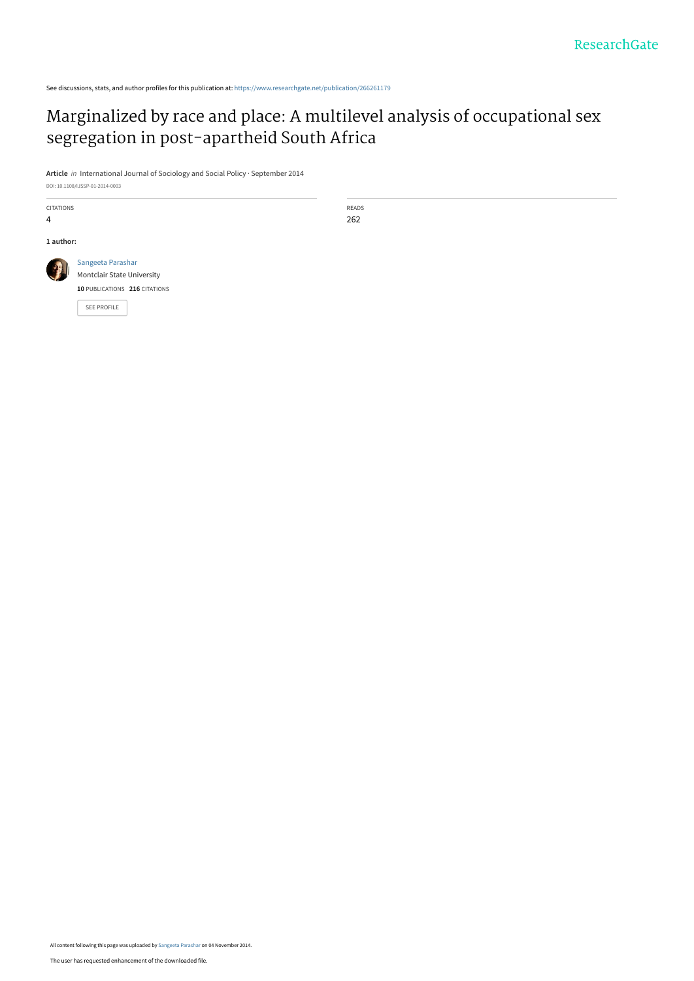See discussions, stats, and author profiles for this publication at: [https://www.researchgate.net/publication/266261179](https://www.researchgate.net/publication/266261179_Marginalized_by_race_and_place_A_multilevel_analysis_of_occupational_sex_segregation_in_post-apartheid_South_Africa?enrichId=rgreq-d11a5e3a48471cddd9f23e6166674b94-XXX&enrichSource=Y292ZXJQYWdlOzI2NjI2MTE3OTtBUzoxNTk2MTk5MDUyMzY5OTJAMTQxNTA2Nzc1OTMwNw%3D%3D&el=1_x_2&_esc=publicationCoverPdf)

### [Marginalized by race and place: A multilevel analysis of occupational sex](https://www.researchgate.net/publication/266261179_Marginalized_by_race_and_place_A_multilevel_analysis_of_occupational_sex_segregation_in_post-apartheid_South_Africa?enrichId=rgreq-d11a5e3a48471cddd9f23e6166674b94-XXX&enrichSource=Y292ZXJQYWdlOzI2NjI2MTE3OTtBUzoxNTk2MTk5MDUyMzY5OTJAMTQxNTA2Nzc1OTMwNw%3D%3D&el=1_x_3&_esc=publicationCoverPdf) segregation in post-apartheid South Africa

**Article** in International Journal of Sociology and Social Policy · September 2014

DOI: 10.1108/IJSSP-01-2014-0003

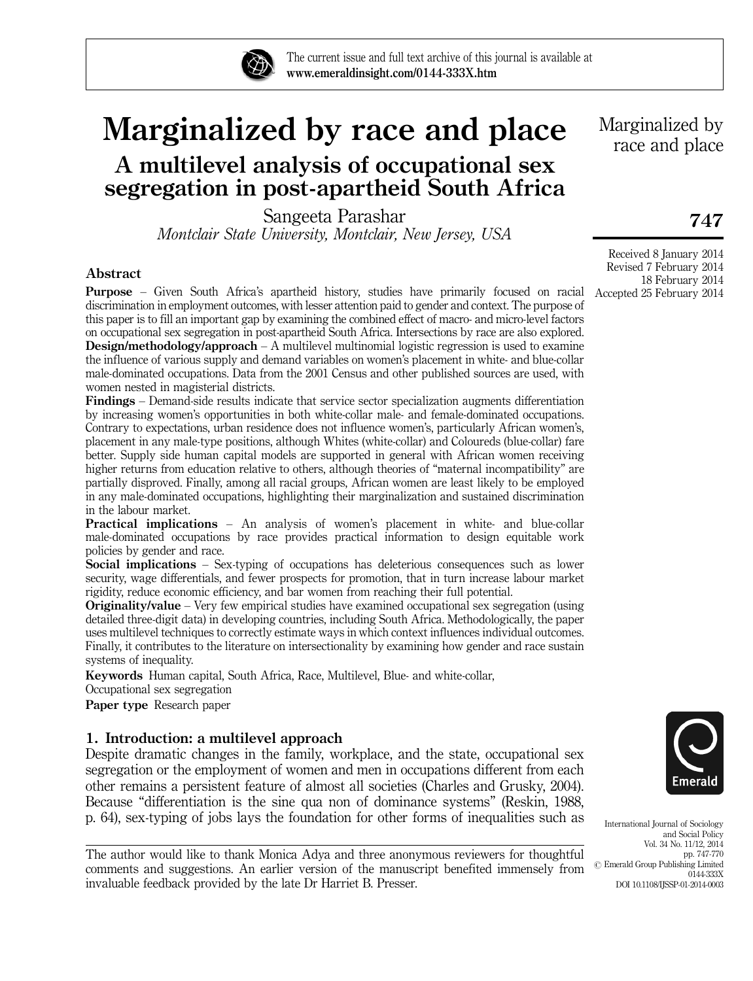

## Marginalized by race and place A multilevel analysis of occupational sex segregation in post-apartheid South Africa

Sangeeta Parashar

Montclair State University, Montclair, New Jersey, USA

#### Abstract

Purpose – Given South Africa's apartheid history, studies have primarily focused on racial Accepted 25 February 2014 discrimination in employment outcomes, with lesser attention paid to gender and context. The purpose of this paper is to fill an important gap by examining the combined effect of macro- and micro-level factors on occupational sex segregation in post-apartheid South Africa. Intersections by race are also explored. **Design/methodology/approach** – A multilevel multinomial logistic regression is used to examine the influence of various supply and demand variables on women's placement in white- and blue-collar male-dominated occupations. Data from the 2001 Census and other published sources are used, with women nested in magisterial districts.

Findings – Demand-side results indicate that service sector specialization augments differentiation by increasing women's opportunities in both white-collar male- and female-dominated occupations. Contrary to expectations, urban residence does not influence women's, particularly African women's, placement in any male-type positions, although Whites (white-collar) and Coloureds (blue-collar) fare better. Supply side human capital models are supported in general with African women receiving higher returns from education relative to others, although theories of "maternal incompatibility" are partially disproved. Finally, among all racial groups, African women are least likely to be employed in any male-dominated occupations, highlighting their marginalization and sustained discrimination in the labour market.

Practical implications – An analysis of women's placement in white- and blue-collar male-dominated occupations by race provides practical information to design equitable work policies by gender and race.

Social implications – Sex-typing of occupations has deleterious consequences such as lower security, wage differentials, and fewer prospects for promotion, that in turn increase labour market rigidity, reduce economic efficiency, and bar women from reaching their full potential.

Originality/value – Very few empirical studies have examined occupational sex segregation (using detailed three-digit data) in developing countries, including South Africa. Methodologically, the paper uses multilevel techniques to correctly estimate ways in which context influences individual outcomes. Finally, it contributes to the literature on intersectionality by examining how gender and race sustain systems of inequality.

Keywords Human capital, South Africa, Race, Multilevel, Blue- and white-collar, Occupational sex segregation

Paper type Research paper

#### 1. Introduction: a multilevel approach

Despite dramatic changes in the family, workplace, and the state, occupational sex segregation or the employment of women and men in occupations different from each other remains a persistent feature of almost all societies (Charles and Grusky, 2004). Because "differentiation is the sine qua non of dominance systems" (Reskin, 1988, p. 64), sex-typing of jobs lays the foundation for other forms of inequalities such as

The author would like to thank Monica Adya and three anonymous reviewers for thoughtful comments and suggestions. An earlier version of the manuscript benefited immensely from invaluable feedback provided by the late Dr Harriet B. Presser.

Marginalized by race and place

747

Received 8 January 2014 Revised 7 February 2014

18 February 2014



International Journal of Sociology and Social Policy Vol. 34 No. 11/12, 2014 pp. 747-770 r Emerald Group Publishing Limited 0144-333X DOI 10.1108/IJSSP-01-2014-0003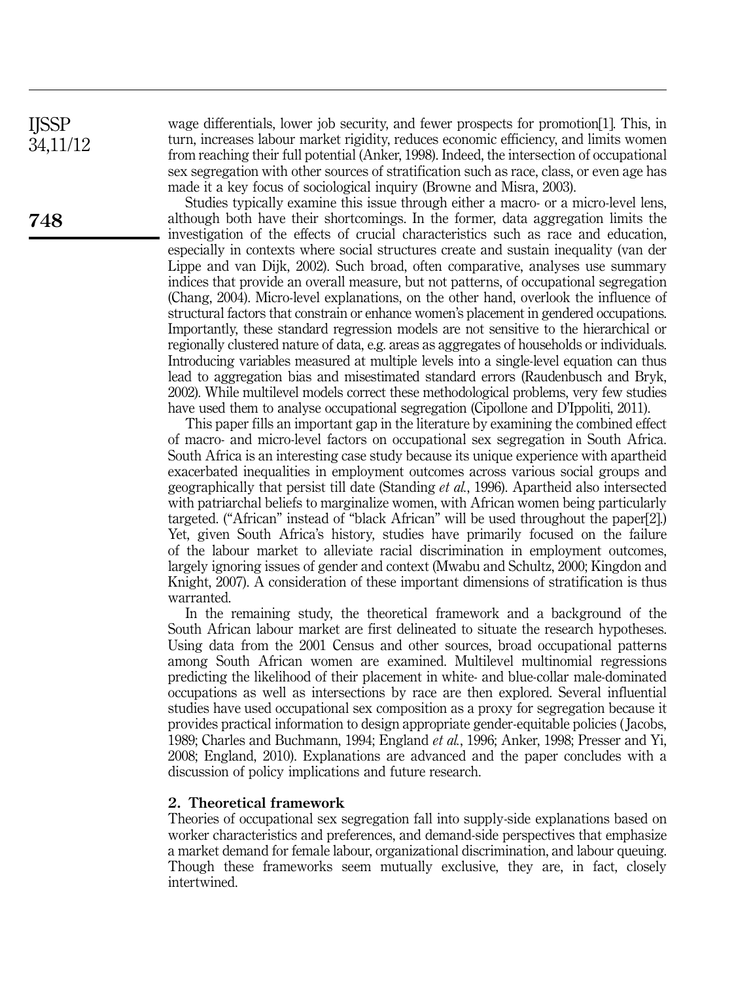wage differentials, lower job security, and fewer prospects for promotion[1]. This, in turn, increases labour market rigidity, reduces economic efficiency, and limits women from reaching their full potential (Anker, 1998). Indeed, the intersection of occupational sex segregation with other sources of stratification such as race, class, or even age has made it a key focus of sociological inquiry (Browne and Misra, 2003).

Studies typically examine this issue through either a macro- or a micro-level lens, although both have their shortcomings. In the former, data aggregation limits the investigation of the effects of crucial characteristics such as race and education, especially in contexts where social structures create and sustain inequality (van der Lippe and van Dijk, 2002). Such broad, often comparative, analyses use summary indices that provide an overall measure, but not patterns, of occupational segregation (Chang, 2004). Micro-level explanations, on the other hand, overlook the influence of structural factors that constrain or enhance women's placement in gendered occupations. Importantly, these standard regression models are not sensitive to the hierarchical or regionally clustered nature of data, e.g. areas as aggregates of households or individuals. Introducing variables measured at multiple levels into a single-level equation can thus lead to aggregation bias and misestimated standard errors (Raudenbusch and Bryk, 2002). While multilevel models correct these methodological problems, very few studies have used them to analyse occupational segregation (Cipollone and D'Ippoliti, 2011).

This paper fills an important gap in the literature by examining the combined effect of macro- and micro-level factors on occupational sex segregation in South Africa. South Africa is an interesting case study because its unique experience with apartheid exacerbated inequalities in employment outcomes across various social groups and geographically that persist till date (Standing et al., 1996). Apartheid also intersected with patriarchal beliefs to marginalize women, with African women being particularly targeted. ("African" instead of "black African" will be used throughout the paper[2].) Yet, given South Africa's history, studies have primarily focused on the failure of the labour market to alleviate racial discrimination in employment outcomes, largely ignoring issues of gender and context (Mwabu and Schultz, 2000; Kingdon and Knight, 2007). A consideration of these important dimensions of stratification is thus warranted.

In the remaining study, the theoretical framework and a background of the South African labour market are first delineated to situate the research hypotheses. Using data from the 2001 Census and other sources, broad occupational patterns among South African women are examined. Multilevel multinomial regressions predicting the likelihood of their placement in white- and blue-collar male-dominated occupations as well as intersections by race are then explored. Several influential studies have used occupational sex composition as a proxy for segregation because it provides practical information to design appropriate gender-equitable policies ( Jacobs, 1989; Charles and Buchmann, 1994; England et al., 1996; Anker, 1998; Presser and Yi, 2008; England, 2010). Explanations are advanced and the paper concludes with a discussion of policy implications and future research.

#### 2. Theoretical framework

Theories of occupational sex segregation fall into supply-side explanations based on worker characteristics and preferences, and demand-side perspectives that emphasize a market demand for female labour, organizational discrimination, and labour queuing. Though these frameworks seem mutually exclusive, they are, in fact, closely intertwined.

748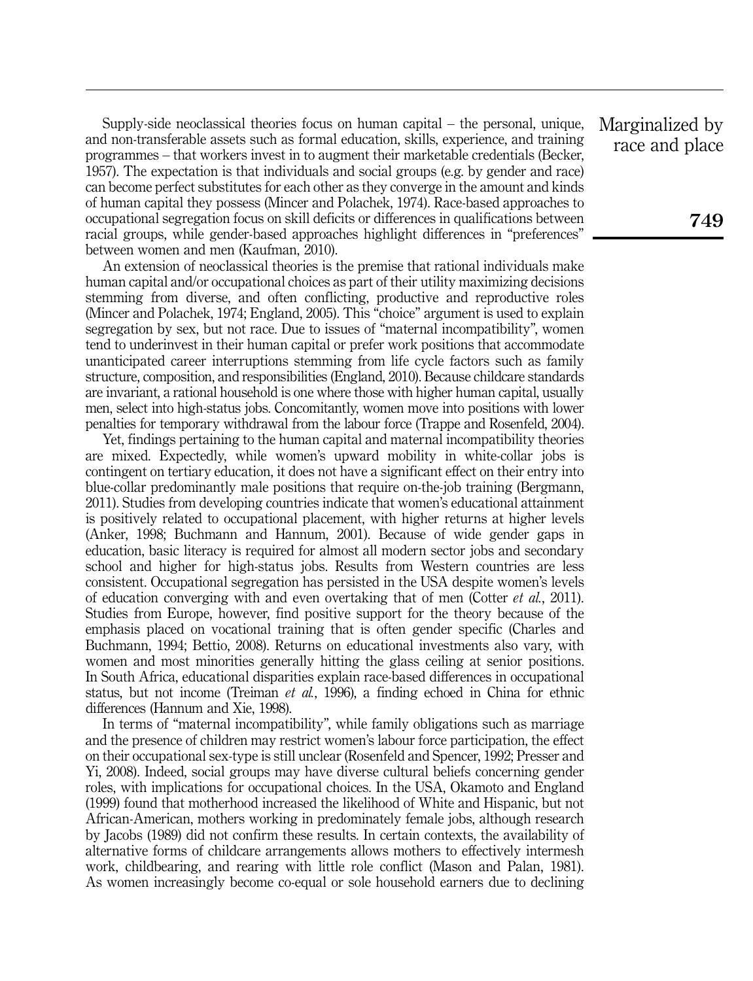Supply-side neoclassical theories focus on human capital – the personal, unique, and non-transferable assets such as formal education, skills, experience, and training programmes – that workers invest in to augment their marketable credentials (Becker, 1957). The expectation is that individuals and social groups (e.g. by gender and race) can become perfect substitutes for each other as they converge in the amount and kinds of human capital they possess (Mincer and Polachek, 1974). Race-based approaches to occupational segregation focus on skill deficits or differences in qualifications between racial groups, while gender-based approaches highlight differences in "preferences" between women and men (Kaufman, 2010).

An extension of neoclassical theories is the premise that rational individuals make human capital and/or occupational choices as part of their utility maximizing decisions stemming from diverse, and often conflicting, productive and reproductive roles (Mincer and Polachek, 1974; England, 2005). This "choice" argument is used to explain segregation by sex, but not race. Due to issues of "maternal incompatibility", women tend to underinvest in their human capital or prefer work positions that accommodate unanticipated career interruptions stemming from life cycle factors such as family structure, composition, and responsibilities (England, 2010). Because childcare standards are invariant, a rational household is one where those with higher human capital, usually men, select into high-status jobs. Concomitantly, women move into positions with lower penalties for temporary withdrawal from the labour force (Trappe and Rosenfeld, 2004).

Yet, findings pertaining to the human capital and maternal incompatibility theories are mixed. Expectedly, while women's upward mobility in white-collar jobs is contingent on tertiary education, it does not have a significant effect on their entry into blue-collar predominantly male positions that require on-the-job training (Bergmann, 2011). Studies from developing countries indicate that women's educational attainment is positively related to occupational placement, with higher returns at higher levels (Anker, 1998; Buchmann and Hannum, 2001). Because of wide gender gaps in education, basic literacy is required for almost all modern sector jobs and secondary school and higher for high-status jobs. Results from Western countries are less consistent. Occupational segregation has persisted in the USA despite women's levels of education converging with and even overtaking that of men (Cotter *et al.*, 2011). Studies from Europe, however, find positive support for the theory because of the emphasis placed on vocational training that is often gender specific (Charles and Buchmann, 1994; Bettio, 2008). Returns on educational investments also vary, with women and most minorities generally hitting the glass ceiling at senior positions. In South Africa, educational disparities explain race-based differences in occupational status, but not income (Treiman *et al.*, 1996), a finding echoed in China for ethnic differences (Hannum and Xie, 1998).

In terms of "maternal incompatibility", while family obligations such as marriage and the presence of children may restrict women's labour force participation, the effect on their occupational sex-type is still unclear (Rosenfeld and Spencer, 1992; Presser and Yi, 2008). Indeed, social groups may have diverse cultural beliefs concerning gender roles, with implications for occupational choices. In the USA, Okamoto and England (1999) found that motherhood increased the likelihood of White and Hispanic, but not African-American, mothers working in predominately female jobs, although research by Jacobs (1989) did not confirm these results. In certain contexts, the availability of alternative forms of childcare arrangements allows mothers to effectively intermesh work, childbearing, and rearing with little role conflict (Mason and Palan, 1981). As women increasingly become co-equal or sole household earners due to declining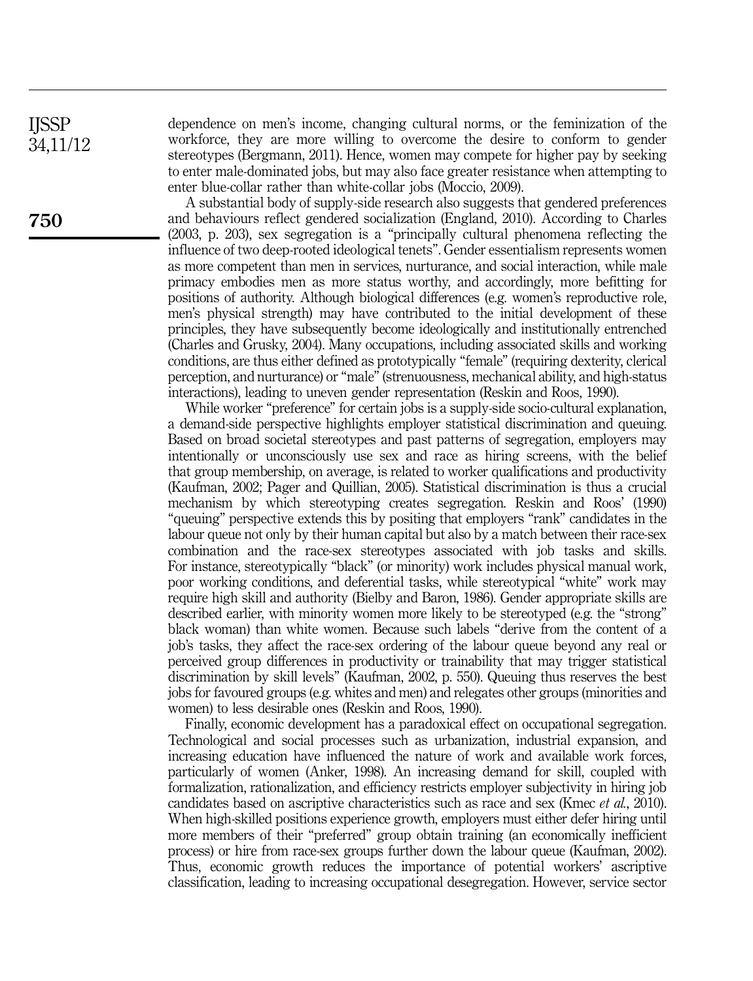dependence on men's income, changing cultural norms, or the feminization of the workforce, they are more willing to overcome the desire to conform to gender stereotypes (Bergmann, 2011). Hence, women may compete for higher pay by seeking to enter male-dominated jobs, but may also face greater resistance when attempting to enter blue-collar rather than white-collar jobs (Moccio, 2009).

A substantial body of supply-side research also suggests that gendered preferences and behaviours reflect gendered socialization (England, 2010). According to Charles (2003, p. 203), sex segregation is a "principally cultural phenomena reflecting the influence of two deep-rooted ideological tenets". Gender essentialism represents women as more competent than men in services, nurturance, and social interaction, while male primacy embodies men as more status worthy, and accordingly, more befitting for positions of authority. Although biological differences (e.g. women's reproductive role, men's physical strength) may have contributed to the initial development of these principles, they have subsequently become ideologically and institutionally entrenched (Charles and Grusky, 2004). Many occupations, including associated skills and working conditions, are thus either defined as prototypically "female" (requiring dexterity, clerical perception, and nurturance) or "male" (strenuousness, mechanical ability, and high-status interactions), leading to uneven gender representation (Reskin and Roos, 1990).

While worker "preference" for certain jobs is a supply-side socio-cultural explanation, a demand-side perspective highlights employer statistical discrimination and queuing. Based on broad societal stereotypes and past patterns of segregation, employers may intentionally or unconsciously use sex and race as hiring screens, with the belief that group membership, on average, is related to worker qualifications and productivity (Kaufman, 2002; Pager and Quillian, 2005). Statistical discrimination is thus a crucial mechanism by which stereotyping creates segregation. Reskin and Roos' (1990) "queuing" perspective extends this by positing that employers "rank" candidates in the labour queue not only by their human capital but also by a match between their race-sex combination and the race-sex stereotypes associated with job tasks and skills. For instance, stereotypically "black" (or minority) work includes physical manual work, poor working conditions, and deferential tasks, while stereotypical "white" work may require high skill and authority (Bielby and Baron, 1986). Gender appropriate skills are described earlier, with minority women more likely to be stereotyped (e.g. the "strong" black woman) than white women. Because such labels "derive from the content of a job's tasks, they affect the race-sex ordering of the labour queue beyond any real or perceived group differences in productivity or trainability that may trigger statistical discrimination by skill levels" (Kaufman, 2002, p. 550). Queuing thus reserves the best jobs for favoured groups (e.g. whites and men) and relegates other groups (minorities and women) to less desirable ones (Reskin and Roos, 1990).

Finally, economic development has a paradoxical effect on occupational segregation. Technological and social processes such as urbanization, industrial expansion, and increasing education have influenced the nature of work and available work forces, particularly of women (Anker, 1998). An increasing demand for skill, coupled with formalization, rationalization, and efficiency restricts employer subjectivity in hiring job candidates based on ascriptive characteristics such as race and sex (Kmec et al., 2010). When high-skilled positions experience growth, employers must either defer hiring until more members of their "preferred" group obtain training (an economically inefficient process) or hire from race-sex groups further down the labour queue (Kaufman, 2002). Thus, economic growth reduces the importance of potential workers' ascriptive classification, leading to increasing occupational desegregation. However, service sector

750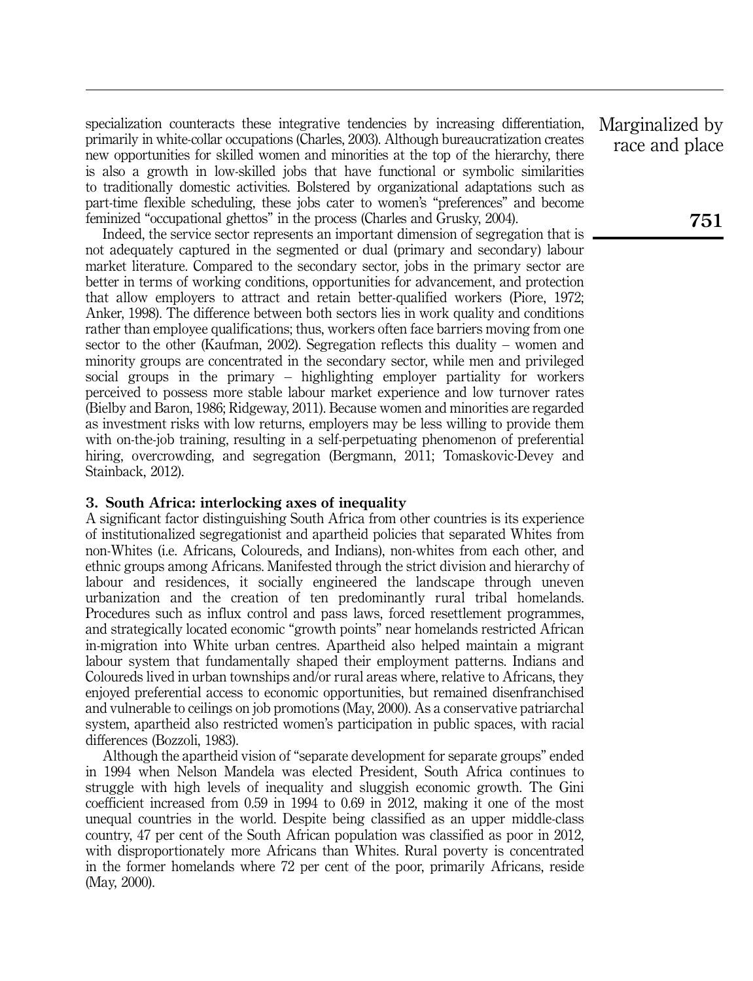specialization counteracts these integrative tendencies by increasing differentiation, primarily in white-collar occupations (Charles, 2003). Although bureaucratization creates new opportunities for skilled women and minorities at the top of the hierarchy, there is also a growth in low-skilled jobs that have functional or symbolic similarities to traditionally domestic activities. Bolstered by organizational adaptations such as part-time flexible scheduling, these jobs cater to women's "preferences" and become feminized "occupational ghettos" in the process (Charles and Grusky, 2004).

Indeed, the service sector represents an important dimension of segregation that is not adequately captured in the segmented or dual (primary and secondary) labour market literature. Compared to the secondary sector, jobs in the primary sector are better in terms of working conditions, opportunities for advancement, and protection that allow employers to attract and retain better-qualified workers (Piore, 1972; Anker, 1998). The difference between both sectors lies in work quality and conditions rather than employee qualifications; thus, workers often face barriers moving from one sector to the other (Kaufman, 2002). Segregation reflects this duality – women and minority groups are concentrated in the secondary sector, while men and privileged social groups in the primary – highlighting employer partiality for workers perceived to possess more stable labour market experience and low turnover rates (Bielby and Baron, 1986; Ridgeway, 2011). Because women and minorities are regarded as investment risks with low returns, employers may be less willing to provide them with on-the-job training, resulting in a self-perpetuating phenomenon of preferential hiring, overcrowding, and segregation (Bergmann, 2011; Tomaskovic-Devey and Stainback, 2012).

#### 3. South Africa: interlocking axes of inequality

A significant factor distinguishing South Africa from other countries is its experience of institutionalized segregationist and apartheid policies that separated Whites from non-Whites (i.e. Africans, Coloureds, and Indians), non-whites from each other, and ethnic groups among Africans. Manifested through the strict division and hierarchy of labour and residences, it socially engineered the landscape through uneven urbanization and the creation of ten predominantly rural tribal homelands. Procedures such as influx control and pass laws, forced resettlement programmes, and strategically located economic "growth points" near homelands restricted African in-migration into White urban centres. Apartheid also helped maintain a migrant labour system that fundamentally shaped their employment patterns. Indians and Coloureds lived in urban townships and/or rural areas where, relative to Africans, they enjoyed preferential access to economic opportunities, but remained disenfranchised and vulnerable to ceilings on job promotions (May, 2000). As a conservative patriarchal system, apartheid also restricted women's participation in public spaces, with racial differences (Bozzoli, 1983).

Although the apartheid vision of "separate development for separate groups" ended in 1994 when Nelson Mandela was elected President, South Africa continues to struggle with high levels of inequality and sluggish economic growth. The Gini coefficient increased from 0.59 in 1994 to 0.69 in 2012, making it one of the most unequal countries in the world. Despite being classified as an upper middle-class country, 47 per cent of the South African population was classified as poor in 2012, with disproportionately more Africans than Whites. Rural poverty is concentrated in the former homelands where 72 per cent of the poor, primarily Africans, reside (May, 2000).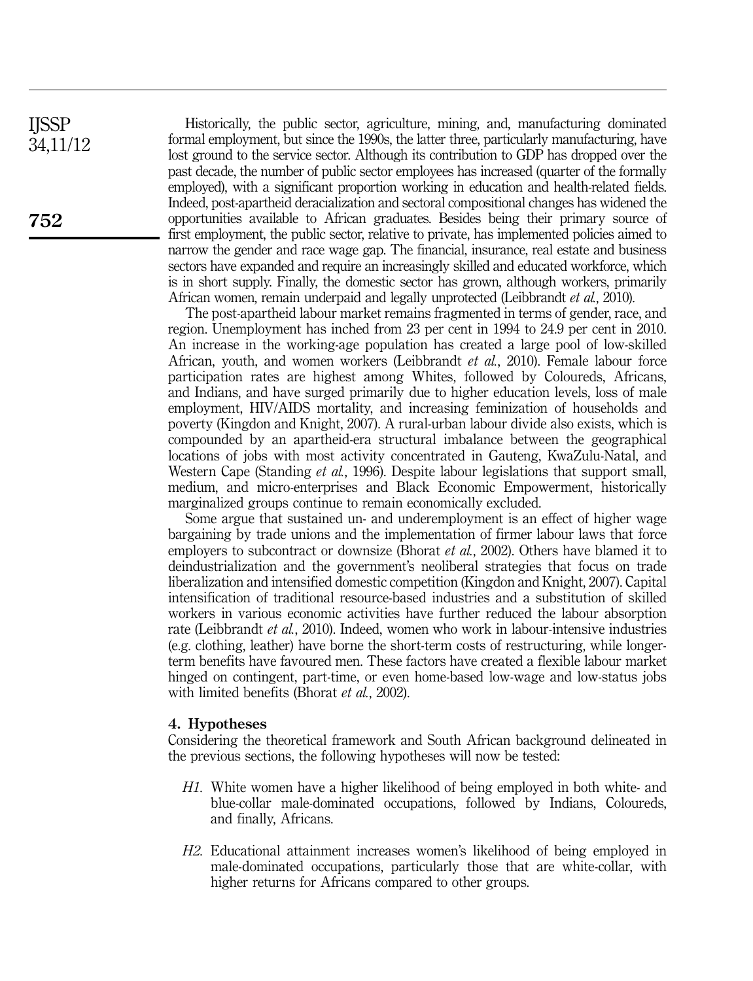Historically, the public sector, agriculture, mining, and, manufacturing dominated formal employment, but since the 1990s, the latter three, particularly manufacturing, have lost ground to the service sector. Although its contribution to GDP has dropped over the past decade, the number of public sector employees has increased (quarter of the formally employed), with a significant proportion working in education and health-related fields. Indeed, post-apartheid deracialization and sectoral compositional changes has widened the opportunities available to African graduates. Besides being their primary source of first employment, the public sector, relative to private, has implemented policies aimed to narrow the gender and race wage gap. The financial, insurance, real estate and business sectors have expanded and require an increasingly skilled and educated workforce, which is in short supply. Finally, the domestic sector has grown, although workers, primarily African women, remain underpaid and legally unprotected (Leibbrandt et al., 2010).

The post-apartheid labour market remains fragmented in terms of gender, race, and region. Unemployment has inched from 23 per cent in 1994 to 24.9 per cent in 2010. An increase in the working-age population has created a large pool of low-skilled African, youth, and women workers (Leibbrandt et al., 2010). Female labour force participation rates are highest among Whites, followed by Coloureds, Africans, and Indians, and have surged primarily due to higher education levels, loss of male employment, HIV/AIDS mortality, and increasing feminization of households and poverty (Kingdon and Knight, 2007). A rural-urban labour divide also exists, which is compounded by an apartheid-era structural imbalance between the geographical locations of jobs with most activity concentrated in Gauteng, KwaZulu-Natal, and Western Cape (Standing *et al.*, 1996). Despite labour legislations that support small, medium, and micro-enterprises and Black Economic Empowerment, historically marginalized groups continue to remain economically excluded.

Some argue that sustained un- and underemployment is an effect of higher wage bargaining by trade unions and the implementation of firmer labour laws that force employers to subcontract or downsize (Bhorat et al., 2002). Others have blamed it to deindustrialization and the government's neoliberal strategies that focus on trade liberalization and intensified domestic competition (Kingdon and Knight, 2007). Capital intensification of traditional resource-based industries and a substitution of skilled workers in various economic activities have further reduced the labour absorption rate (Leibbrandt *et al.*, 2010). Indeed, women who work in labour-intensive industries (e.g. clothing, leather) have borne the short-term costs of restructuring, while longerterm benefits have favoured men. These factors have created a flexible labour market hinged on contingent, part-time, or even home-based low-wage and low-status jobs with limited benefits (Bhorat *et al.*, 2002).

#### 4. Hypotheses

Considering the theoretical framework and South African background delineated in the previous sections, the following hypotheses will now be tested:

- H1. White women have a higher likelihood of being employed in both white- and blue-collar male-dominated occupations, followed by Indians, Coloureds, and finally, Africans.
- H2. Educational attainment increases women's likelihood of being employed in male-dominated occupations, particularly those that are white-collar, with higher returns for Africans compared to other groups.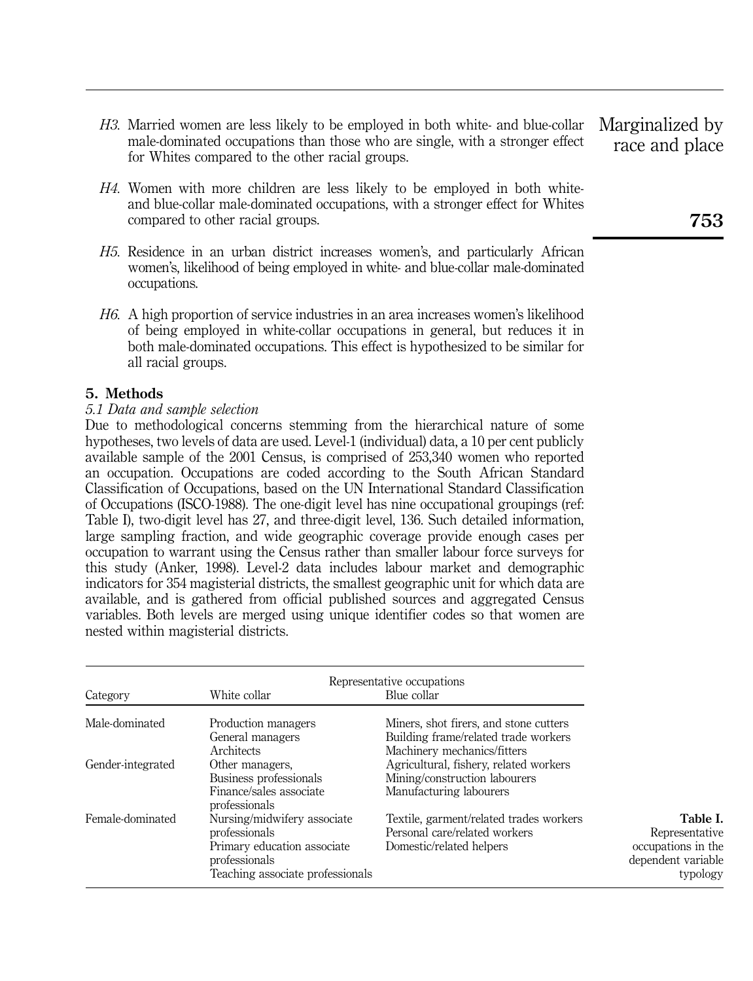- H3. Married women are less likely to be employed in both white- and blue-collar male-dominated occupations than those who are single, with a stronger effect for Whites compared to the other racial groups. Marginalized by race and place
- H4. Women with more children are less likely to be employed in both whiteand blue-collar male-dominated occupations, with a stronger effect for Whites compared to other racial groups.
- H5. Residence in an urban district increases women's, and particularly African women's, likelihood of being employed in white- and blue-collar male-dominated occupations.
- H6. A high proportion of service industries in an area increases women's likelihood of being employed in white-collar occupations in general, but reduces it in both male-dominated occupations. This effect is hypothesized to be similar for all racial groups.

#### 5. Methods

#### 5.1 Data and sample selection

Due to methodological concerns stemming from the hierarchical nature of some hypotheses, two levels of data are used. Level-1 (individual) data, a 10 per cent publicly available sample of the 2001 Census, is comprised of 253,340 women who reported an occupation. Occupations are coded according to the South African Standard Classification of Occupations, based on the UN International Standard Classification of Occupations (ISCO-1988). The one-digit level has nine occupational groupings (ref: Table I), two-digit level has 27, and three-digit level, 136. Such detailed information, large sampling fraction, and wide geographic coverage provide enough cases per occupation to warrant using the Census rather than smaller labour force surveys for this study (Anker, 1998). Level-2 data includes labour market and demographic indicators for 354 magisterial districts, the smallest geographic unit for which data are available, and is gathered from official published sources and aggregated Census variables. Both levels are merged using unique identifier codes so that women are nested within magisterial districts.

|                   |                                                                                                                                  | Representative occupations                                                                                    |                                                                                    |
|-------------------|----------------------------------------------------------------------------------------------------------------------------------|---------------------------------------------------------------------------------------------------------------|------------------------------------------------------------------------------------|
| Category          | White collar                                                                                                                     | Blue collar                                                                                                   |                                                                                    |
| Male-dominated    | Production managers<br>General managers<br>Architects                                                                            | Miners, shot firers, and stone cutters<br>Building frame/related trade workers<br>Machinery mechanics/fitters |                                                                                    |
| Gender-integrated | Other managers,<br>Business professionals<br>Finance/sales associate<br>professionals                                            | Agricultural, fishery, related workers<br>Mining/construction labourers<br>Manufacturing labourers            |                                                                                    |
| Female-dominated  | Nursing/midwifery associate<br>professionals<br>Primary education associate<br>professionals<br>Teaching associate professionals | Textile, garment/related trades workers<br>Personal care/related workers<br>Domestic/related helpers          | Table I.<br>Representative<br>occupations in the<br>dependent variable<br>typology |

753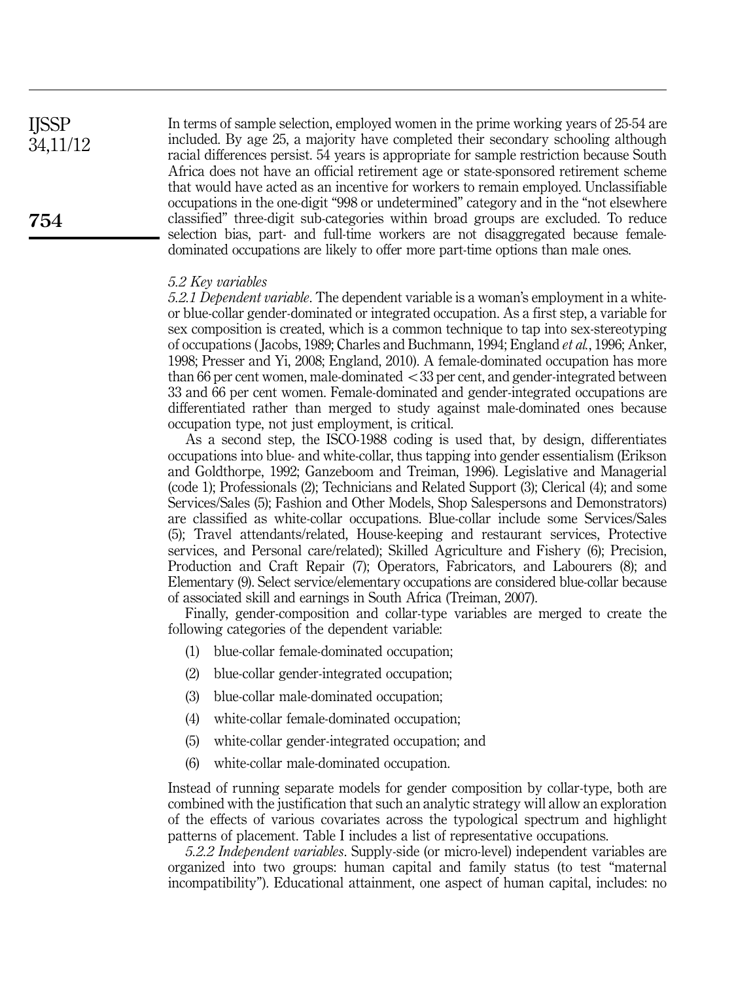| <b>IJSSP</b> | In terms of sample selection, employed women in the prime working years of 25-54 are     |
|--------------|------------------------------------------------------------------------------------------|
| 34,11/12     | included. By age 25, a majority have completed their secondary schooling although        |
|              | racial differences persist. 54 years is appropriate for sample restriction because South |
|              | Africa does not have an official retirement age or state-sponsored retirement scheme     |
|              | that would have acted as an incentive for workers to remain employed. Unclassifiable     |
|              | occupations in the one-digit "998 or undetermined" category and in the "not elsewhere"   |
| 754          | classified" three-digit sub-categories within broad groups are excluded. To reduce       |
|              | selection bias, part- and full-time workers are not disaggregated because female-        |
|              | dominated occupations are likely to offer more part-time options than male ones.         |
|              |                                                                                          |

#### 5.2 Key variables

5.2.1 Dependent variable. The dependent variable is a woman's employment in a whiteor blue-collar gender-dominated or integrated occupation. As a first step, a variable for sex composition is created, which is a common technique to tap into sex-stereotyping of occupations ( Jacobs, 1989; Charles and Buchmann, 1994; England et al., 1996; Anker, 1998; Presser and Yi, 2008; England, 2010). A female-dominated occupation has more than 66 per cent women, male-dominated  $<$  33 per cent, and gender-integrated between 33 and 66 per cent women. Female-dominated and gender-integrated occupations are differentiated rather than merged to study against male-dominated ones because occupation type, not just employment, is critical.

As a second step, the ISCO-1988 coding is used that, by design, differentiates occupations into blue- and white-collar, thus tapping into gender essentialism (Erikson and Goldthorpe, 1992; Ganzeboom and Treiman, 1996). Legislative and Managerial (code 1); Professionals (2); Technicians and Related Support (3); Clerical (4); and some Services/Sales (5); Fashion and Other Models, Shop Salespersons and Demonstrators) are classified as white-collar occupations. Blue-collar include some Services/Sales (5); Travel attendants/related, House-keeping and restaurant services, Protective services, and Personal care/related); Skilled Agriculture and Fishery (6); Precision, Production and Craft Repair (7); Operators, Fabricators, and Labourers (8); and Elementary (9). Select service/elementary occupations are considered blue-collar because of associated skill and earnings in South Africa (Treiman, 2007).

Finally, gender-composition and collar-type variables are merged to create the following categories of the dependent variable:

- (1) blue-collar female-dominated occupation;
- (2) blue-collar gender-integrated occupation;
- (3) blue-collar male-dominated occupation;
- (4) white-collar female-dominated occupation;
- (5) white-collar gender-integrated occupation; and
- (6) white-collar male-dominated occupation.

Instead of running separate models for gender composition by collar-type, both are combined with the justification that such an analytic strategy will allow an exploration of the effects of various covariates across the typological spectrum and highlight patterns of placement. Table I includes a list of representative occupations.

5.2.2 Independent variables. Supply-side (or micro-level) independent variables are organized into two groups: human capital and family status (to test "maternal incompatibility"). Educational attainment, one aspect of human capital, includes: no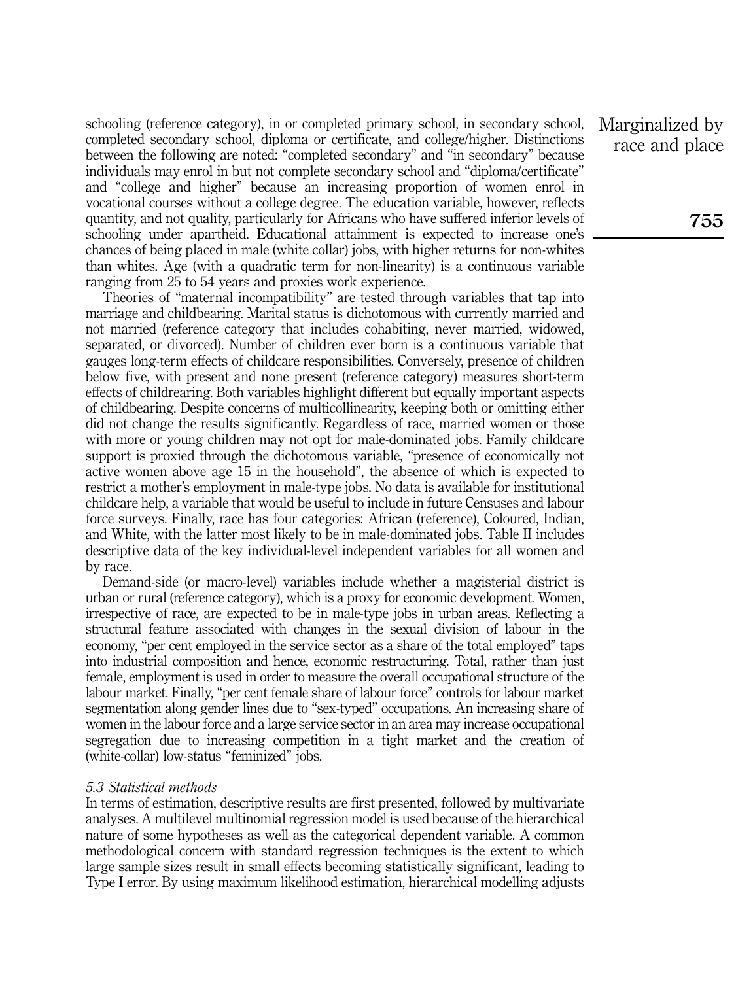schooling (reference category), in or completed primary school, in secondary school, completed secondary school, diploma or certificate, and college/higher. Distinctions between the following are noted: "completed secondary" and "in secondary" because individuals may enrol in but not complete secondary school and "diploma/certificate" and "college and higher" because an increasing proportion of women enrol in vocational courses without a college degree. The education variable, however, reflects quantity, and not quality, particularly for Africans who have suffered inferior levels of schooling under apartheid. Educational attainment is expected to increase one's chances of being placed in male (white collar) jobs, with higher returns for non-whites than whites. Age (with a quadratic term for non-linearity) is a continuous variable ranging from 25 to 54 years and proxies work experience.

Theories of "maternal incompatibility" are tested through variables that tap into marriage and childbearing. Marital status is dichotomous with currently married and not married (reference category that includes cohabiting, never married, widowed, separated, or divorced). Number of children ever born is a continuous variable that gauges long-term effects of childcare responsibilities. Conversely, presence of children below five, with present and none present (reference category) measures short-term effects of childrearing. Both variables highlight different but equally important aspects of childbearing. Despite concerns of multicollinearity, keeping both or omitting either did not change the results significantly. Regardless of race, married women or those with more or young children may not opt for male-dominated jobs. Family childcare support is proxied through the dichotomous variable, "presence of economically not active women above age 15 in the household", the absence of which is expected to restrict a mother's employment in male-type jobs. No data is available for institutional childcare help, a variable that would be useful to include in future Censuses and labour force surveys. Finally, race has four categories: African (reference), Coloured, Indian, and White, with the latter most likely to be in male-dominated jobs. Table II includes descriptive data of the key individual-level independent variables for all women and by race.

Demand-side (or macro-level) variables include whether a magisterial district is urban or rural (reference category), which is a proxy for economic development. Women, irrespective of race, are expected to be in male-type jobs in urban areas. Reflecting a structural feature associated with changes in the sexual division of labour in the economy, "per cent employed in the service sector as a share of the total employed" taps into industrial composition and hence, economic restructuring. Total, rather than just female, employment is used in order to measure the overall occupational structure of the labour market. Finally, "per cent female share of labour force" controls for labour market segmentation along gender lines due to "sex-typed" occupations. An increasing share of women in the labour force and a large service sector in an area may increase occupational segregation due to increasing competition in a tight market and the creation of (white-collar) low-status "feminized" jobs.

#### 5.3 Statistical methods

In terms of estimation, descriptive results are first presented, followed by multivariate analyses. A multilevel multinomial regression model is used because of the hierarchical nature of some hypotheses as well as the categorical dependent variable. A common methodological concern with standard regression techniques is the extent to which large sample sizes result in small effects becoming statistically significant, leading to Type I error. By using maximum likelihood estimation, hierarchical modelling adjusts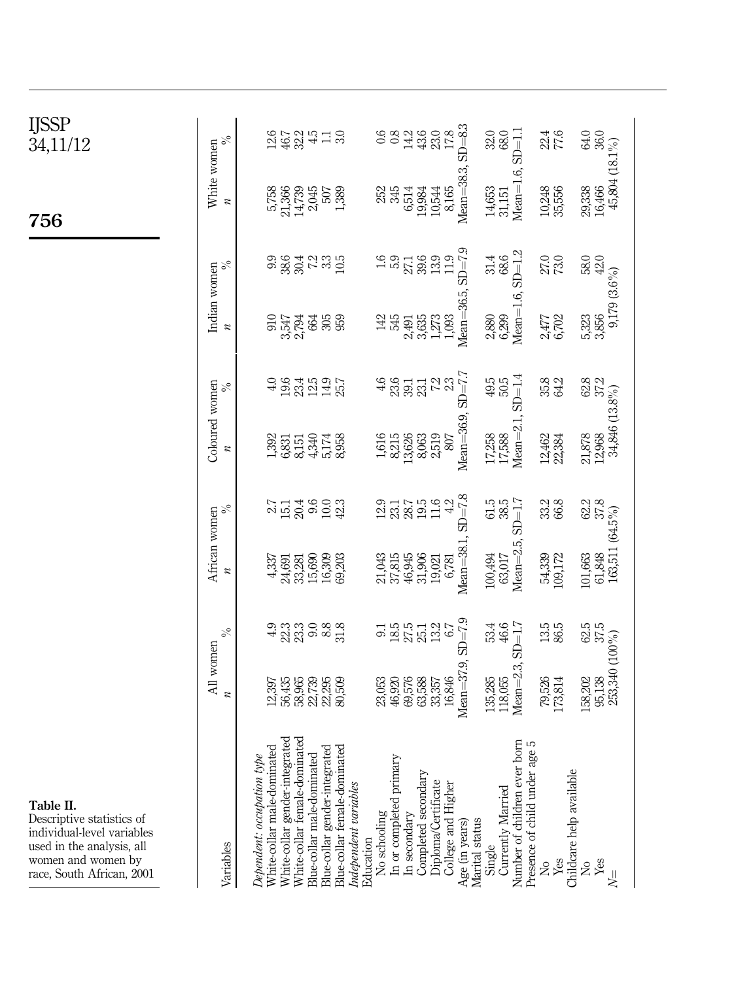| <b>IJSSP</b><br>34,11/12                                                                                                                             | $\%$                               | 0821608<br>0814381<br>1482413<br>1482413                                                                                                                                                                                                                                                                                                                                   |                                                   | $SL=1.1$<br>$32.0$<br>68.0                                                                                     | 22.4<br>77.6                  | $64.0\phantom{}$ 36.0                                                                |
|------------------------------------------------------------------------------------------------------------------------------------------------------|------------------------------------|----------------------------------------------------------------------------------------------------------------------------------------------------------------------------------------------------------------------------------------------------------------------------------------------------------------------------------------------------------------------------|---------------------------------------------------|----------------------------------------------------------------------------------------------------------------|-------------------------------|--------------------------------------------------------------------------------------|
| 756                                                                                                                                                  | White women<br>$\boldsymbol{n}$    | 252<br>345<br>6,514<br>$\frac{5,758}{21,366}$<br>$2,045$<br>507<br>507<br>1,389<br>19,984<br>10,544                                                                                                                                                                                                                                                                        | $Mean = 38.3, SD = 8.3$<br>8,165                  | $Mean = 1.6$<br>$\begin{array}{c} 14{,}653 \\ 31{,}151 \end{array}$                                            | 10,248<br>35,556              | 45,804 (18.1%)<br>29,338<br>16,466                                                   |
|                                                                                                                                                      | $\frac{5}{6}$                      | $1.6$<br>$5.7$<br>$5.7$<br>$3.9$<br>0.942350<br>0.86509                                                                                                                                                                                                                                                                                                                    |                                                   | $\begin{array}{c} 31.4 \\ 68.6 \end{array}$                                                                    | 27.0<br>73.0                  | $\begin{array}{c} 58.0 \\ 42.0 \end{array}$                                          |
|                                                                                                                                                      | Indian women<br>$\boldsymbol{z}$   | 2,491<br>3,635<br>910<br>3,547<br>2,794<br>888<br>545<br>142                                                                                                                                                                                                                                                                                                               | $1,273$<br>$1,093$<br>$11.9$<br>Mean=36.5, SD=7.9 | $Mean=1.6$ , $SD=1.2$<br>2,880<br>6,299                                                                        | 6,702<br>2,477                | 9,179 (3.6%)<br>3,856<br>5,323                                                       |
|                                                                                                                                                      | $\%$                               | 1934597<br>193145<br>$4801172$<br>$73811$<br>4.0                                                                                                                                                                                                                                                                                                                           | 23                                                | $SD=1.4$<br>$\substack{49.5 \\ 50.5}$                                                                          | 35.8<br>64.2                  | $62.8$ $37.2$                                                                        |
|                                                                                                                                                      | Coloured women<br>$\boldsymbol{n}$ | 8,063<br>2,519<br>$1,616$<br>13,626<br>8,215<br>6315197488<br>631974588<br>634589<br>1,392                                                                                                                                                                                                                                                                                 | $Mean = 36.9$ , $SD = 7.7$<br>807                 | $Mean = 2.1$<br>17,258<br>17,588                                                                               | 12,462<br>22,384              | $\begin{array}{cc} 21,878 & 62.8 \\ 12,968 & 37.2 \\ 34,846 & (13.8\%) \end{array}$  |
|                                                                                                                                                      | $\%$                               | $\begin{array}{c} 12.9 \\ 23.1 \\ 28.7 \\ 19.5 \\ 11.6 \end{array}$<br>2146093                                                                                                                                                                                                                                                                                             | $4.2\,$                                           | $SD=1.7$<br>$61.5\phantom{}$ $38.5\phantom{}$                                                                  | 66.8<br>33.2                  | $62.2$<br>$37.8$                                                                     |
|                                                                                                                                                      | African women<br>$\boldsymbol{n}$  | 21,043<br>37,815<br>46,945<br>$\begin{array}{c} 31,906 \\ 19,021 \end{array}$<br>15,690<br>16,309<br>69,203<br>33,281<br>4,337<br>24,691                                                                                                                                                                                                                                   | $Mean = 38.1$ , $SD = 7.8$<br>6,781               | Mean=2.5,<br>100,494<br>63,017                                                                                 | 109,172<br>54,339             | 163,511 (64.5%)<br>61,848<br>101,663                                                 |
|                                                                                                                                                      | $\%$                               | 9339888<br>488988                                                                                                                                                                                                                                                                                                                                                          | $SL=7.9$<br>$67\,$                                | $SDE = 1.7$<br>53.4<br>46.6                                                                                    | 13.5<br>86.5                  | $62.5$ $37.5$                                                                        |
|                                                                                                                                                      | All women<br>$\boldsymbol{n}$      | 69,576<br>63,588<br>33,357<br>35<br>35 43 56 56 56<br>21 66 66 56 56 56<br>46,920<br>23,053                                                                                                                                                                                                                                                                                | $Mean = 37.9$ ,<br>16,846                         | $Mean = 2.3$<br>135,285<br>118,055                                                                             | 79,526<br>173,814             | $\begin{array}{ll} 158,202 & 62.5 \\ 95,138 & 37.5 \\ 253,340 & (100\%) \end{array}$ |
| Table II.<br>Descriptive statistics of<br>individual-level variables<br>used in the analysis, all<br>women and women by<br>race, South African, 2001 | Variables                          | White-collar female-dominated<br>White-collar gender-integrated<br>White-collar male-dominated<br>Blue-collar gender-integrated<br>Blue-collar female-dominated<br>Blue-collar male-dominated<br>Dependent: occupation type<br>In or completed primary<br>Completed secondary<br>Diploma/Certificate<br>Independent variables<br>No schooling<br>In secondary<br>Education | College and Higher<br>Age (in years)              | Number of children ever born<br>Presence of child under age 5<br>Currently Married<br>Marital status<br>Single | Yes<br>$\mathcal{L}_{\infty}$ | Childcare help available<br>Yes<br>$\mathcal{L}^{\circ}$<br>$\overline{z}$           |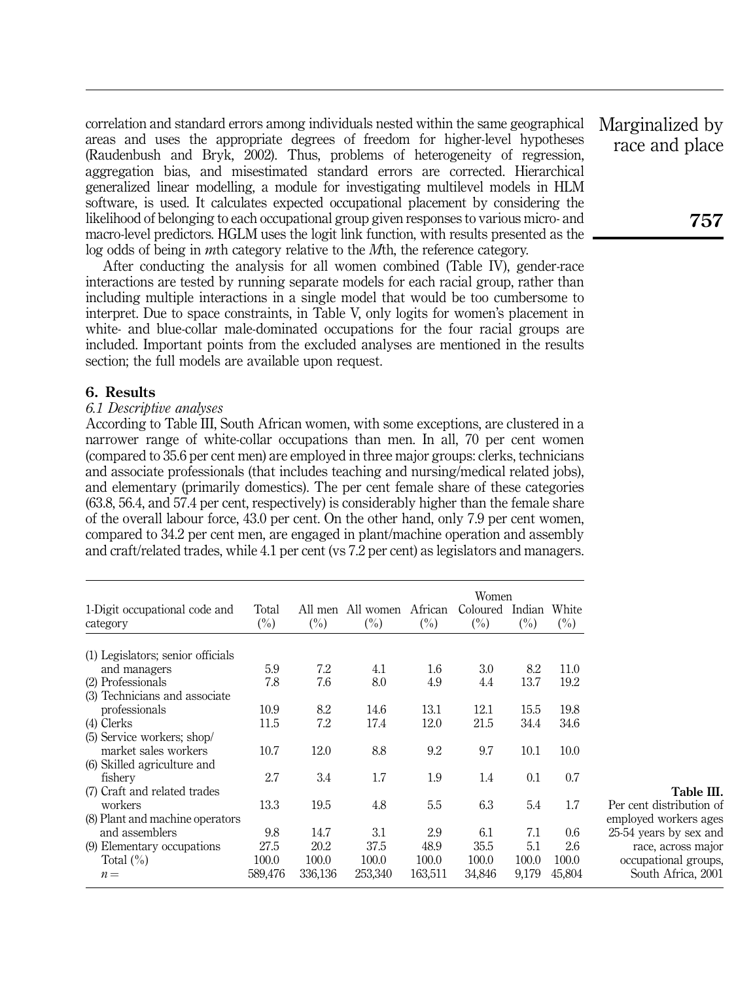correlation and standard errors among individuals nested within the same geographical areas and uses the appropriate degrees of freedom for higher-level hypotheses (Raudenbush and Bryk, 2002). Thus, problems of heterogeneity of regression, aggregation bias, and misestimated standard errors are corrected. Hierarchical generalized linear modelling, a module for investigating multilevel models in HLM software, is used. It calculates expected occupational placement by considering the likelihood of belonging to each occupational group given responses to various micro- and macro-level predictors. HGLM uses the logit link function, with results presented as the log odds of being in mth category relative to the Mth, the reference category.

After conducting the analysis for all women combined (Table IV), gender-race interactions are tested by running separate models for each racial group, rather than including multiple interactions in a single model that would be too cumbersome to interpret. Due to space constraints, in Table V, only logits for women's placement in white- and blue-collar male-dominated occupations for the four racial groups are included. Important points from the excluded analyses are mentioned in the results section; the full models are available upon request.

#### 6. Results

#### 6.1 Descriptive analyses

According to Table III, South African women, with some exceptions, are clustered in a narrower range of white-collar occupations than men. In all, 70 per cent women (compared to 35.6 per cent men) are employed in three major groups: clerks, technicians and associate professionals (that includes teaching and nursing/medical related jobs), and elementary (primarily domestics). The per cent female share of these categories (63.8, 56.4, and 57.4 per cent, respectively) is considerably higher than the female share of the overall labour force, 43.0 per cent. On the other hand, only 7.9 per cent women, compared to 34.2 per cent men, are engaged in plant/machine operation and assembly and craft/related trades, while 4.1 per cent (vs 7.2 per cent) as legislators and managers.

|                                                   |                         |                    |                      |                           | Women           |               |                         |                                                 |
|---------------------------------------------------|-------------------------|--------------------|----------------------|---------------------------|-----------------|---------------|-------------------------|-------------------------------------------------|
| 1-Digit occupational code and<br>category         | Total<br>$\binom{0}{0}$ | All men<br>$(\% )$ | All women<br>$(\% )$ | African<br>$\binom{0}{0}$ | Coloured<br>(%) | Indian<br>(%) | White<br>$\binom{0}{0}$ |                                                 |
| (1) Legislators; senior officials                 |                         |                    |                      |                           |                 |               |                         |                                                 |
| and managers<br>(2) Professionals                 | 5.9<br>7.8              | 7.2<br>7.6         | 4.1<br>8.0           | 1.6<br>4.9                | 3.0<br>4.4      | 8.2<br>13.7   | 11.0<br>19.2            |                                                 |
| (3) Technicians and associate<br>professionals    | 10.9                    | 8.2                | 14.6                 | 13.1                      | 12.1            | 15.5          | 19.8                    |                                                 |
| (4) Clerks<br>(5) Service workers; shop/          | 11.5                    | 7.2                | 17.4                 | 12.0                      | 21.5            | 34.4          | 34.6                    |                                                 |
| market sales workers                              | 10.7                    | 12.0               | 8.8                  | 9.2                       | 9.7             | 10.1          | 10.0                    |                                                 |
| (6) Skilled agriculture and<br>fishery            | 2.7                     | 3.4                | 1.7                  | 1.9                       | 1.4             | 0.1           | 0.7                     |                                                 |
| (7) Craft and related trades<br>workers           | 13.3                    | 19.5               | 4.8                  | 5.5                       | 6.3             | 5.4           | 1.7                     | Table III.<br>Per cent distribution of          |
| (8) Plant and machine operators<br>and assemblers | 9.8                     | 14.7               | 3.1                  | 2.9                       | 6.1             | 7.1           | 0.6                     | employed workers ages<br>25-54 years by sex and |
| (9) Elementary occupations<br>Total $(\% )$       | 27.5<br>100.0           | 20.2<br>100.0      | 37.5<br>100.0        | 48.9<br>100.0             | 35.5<br>100.0   | 5.1<br>100.0  | 2.6<br>100.0            | race, across major<br>occupational groups,      |
| $n =$                                             | 589,476                 | 336,136            | 253,340              | 163,511                   | 34,846          | 9,179         | 45,804                  | South Africa, 2001                              |

Marginalized by race and place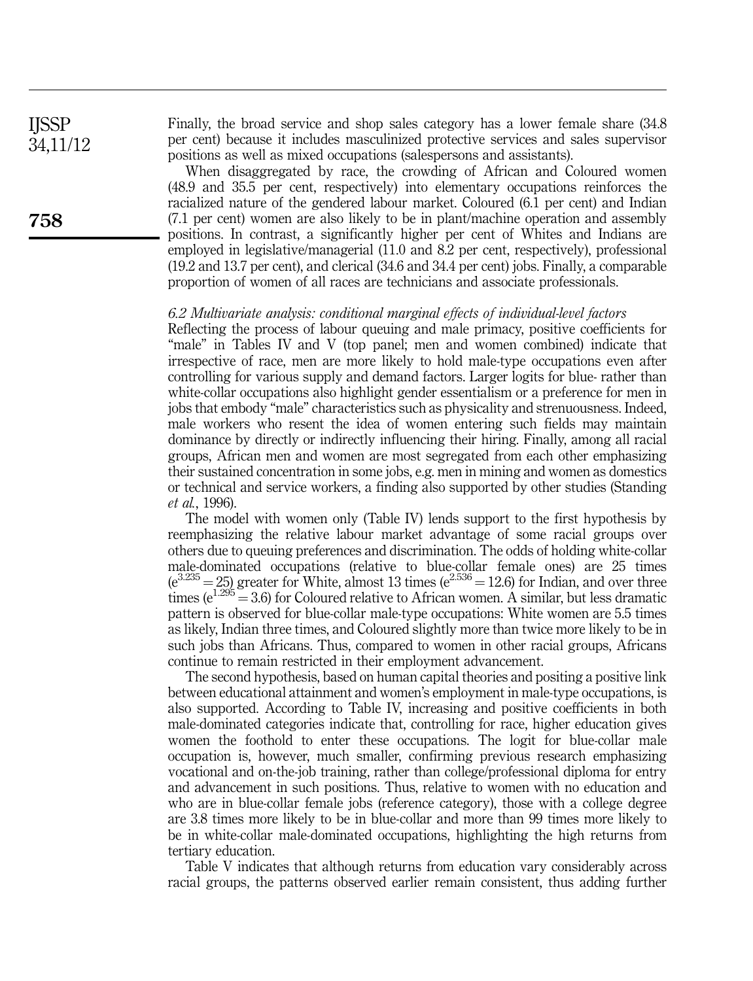Finally, the broad service and shop sales category has a lower female share (34.8 per cent) because it includes masculinized protective services and sales supervisor positions as well as mixed occupations (salespersons and assistants).

When disaggregated by race, the crowding of African and Coloured women (48.9 and 35.5 per cent, respectively) into elementary occupations reinforces the racialized nature of the gendered labour market. Coloured (6.1 per cent) and Indian (7.1 per cent) women are also likely to be in plant/machine operation and assembly positions. In contrast, a significantly higher per cent of Whites and Indians are employed in legislative/managerial (11.0 and 8.2 per cent, respectively), professional (19.2 and 13.7 per cent), and clerical (34.6 and 34.4 per cent) jobs. Finally, a comparable proportion of women of all races are technicians and associate professionals.

#### 6.2 Multivariate analysis: conditional marginal effects of individual-level factors

Reflecting the process of labour queuing and male primacy, positive coefficients for "male" in Tables IV and V (top panel; men and women combined) indicate that irrespective of race, men are more likely to hold male-type occupations even after controlling for various supply and demand factors. Larger logits for blue- rather than white-collar occupations also highlight gender essentialism or a preference for men in jobs that embody "male" characteristics such as physicality and strenuousness. Indeed, male workers who resent the idea of women entering such fields may maintain dominance by directly or indirectly influencing their hiring. Finally, among all racial groups, African men and women are most segregated from each other emphasizing their sustained concentration in some jobs, e.g. men in mining and women as domestics or technical and service workers, a finding also supported by other studies (Standing et al., 1996).

The model with women only (Table IV) lends support to the first hypothesis by reemphasizing the relative labour market advantage of some racial groups over others due to queuing preferences and discrimination. The odds of holding white-collar male-dominated occupations (relative to blue-collar female ones) are 25 times  $(e^{3.235} = 25)$  greater for White, almost 13 times  $(e^{2.536} = 12.6)$  for Indian, and over three times ( $e^{1.295}$  = 3.6) for Coloured relative to African women. A similar, but less dramatic pattern is observed for blue-collar male-type occupations: White women are 5.5 times as likely, Indian three times, and Coloured slightly more than twice more likely to be in such jobs than Africans. Thus, compared to women in other racial groups, Africans continue to remain restricted in their employment advancement.

The second hypothesis, based on human capital theories and positing a positive link between educational attainment and women's employment in male-type occupations, is also supported. According to Table IV, increasing and positive coefficients in both male-dominated categories indicate that, controlling for race, higher education gives women the foothold to enter these occupations. The logit for blue-collar male occupation is, however, much smaller, confirming previous research emphasizing vocational and on-the-job training, rather than college/professional diploma for entry and advancement in such positions. Thus, relative to women with no education and who are in blue-collar female jobs (reference category), those with a college degree are 3.8 times more likely to be in blue-collar and more than 99 times more likely to be in white-collar male-dominated occupations, highlighting the high returns from tertiary education.

Table V indicates that although returns from education vary considerably across racial groups, the patterns observed earlier remain consistent, thus adding further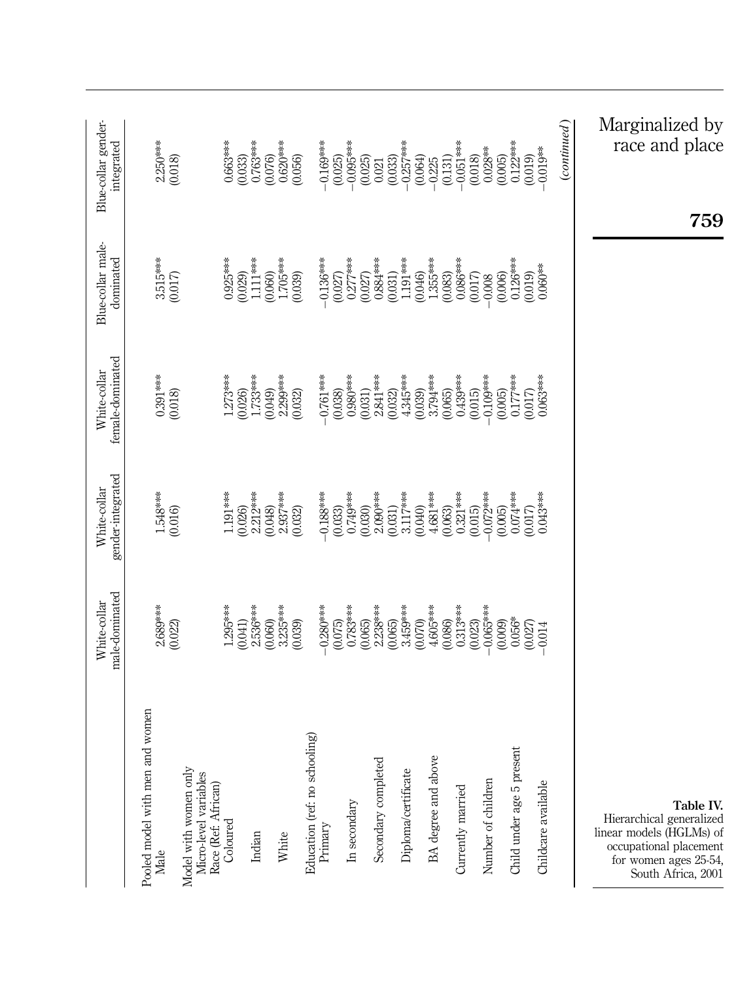|                                                                                                                                            | male-dominated<br>White-collar   | gender-integrated<br>White-collar | female-dominated<br>White-collar                   | Blue-collar male-<br>dominated   | Blue-collar gender-<br>integrated  |
|--------------------------------------------------------------------------------------------------------------------------------------------|----------------------------------|-----------------------------------|----------------------------------------------------|----------------------------------|------------------------------------|
| d women<br>Pooled model with men an<br>Male                                                                                                | $2.689***$<br>(0.022)            | $1.548***$<br>(0.016)             | $0.391***$<br>(0.018)                              | $3.515***$<br>(0.017)            | $2.250***$<br>(0.018)              |
| Model with women only<br>Micro-level variables                                                                                             |                                  |                                   |                                                    |                                  |                                    |
| Race (Ref: African)<br>Coloured                                                                                                            | $1.295***$                       | $1.191***$                        | $1.273***$                                         | $0.925***$                       | $0.663***$                         |
| Indian                                                                                                                                     | $2.536***$<br>(0.041)            | $2.212***$<br>(0.026)             | $1.733***$<br>(0.026)                              | $1.111***$<br>(0.029)            | $0.763***$<br>(0.033)              |
| White                                                                                                                                      | $3.235***$<br>(0.060)<br>(0.039) | 2.937***<br>(0.048)<br>(0.032)    | 2.299***<br>(640.0)<br>(0.032)                     | $1.705***$<br>(0.060)<br>(0.039) | $(0.076)$<br>$0.620***$<br>(0.056) |
| Education (ref: no schooling)<br>Primary                                                                                                   | $-0.280$ **                      | $-0.188***$                       | $-0.761***$                                        | $-0.136***$                      | $-0.169***$                        |
| In secondary                                                                                                                               | $0.783***$<br>(0.075)            | 0.749***<br>(0.033)               | $\begin{array}{c} (0.038) \\ 0.980*** \end{array}$ | $0.277***$<br>(0.027)            | $-0.095***$<br>(0.025)             |
| Secondary completed                                                                                                                        | $2.238***$<br>(0.065)            | $2.090***$<br>(0.030)             | $\begin{array}{c} (0.031) \\ 2.841*** \end{array}$ | $0.884***$<br>(0.027)            | (0.025)<br>0.021                   |
| Diploma/certificate                                                                                                                        | 3.459***<br>(0.065)              | $3.117***$<br>(0.031)             | 4.345****<br>(0.032)                               | $1.191***$<br>(0.031)            | $-0.257***$<br>(0.033)             |
| BA degree and above                                                                                                                        | $4.605***$<br>(0.070)            | 4.681***<br>(0.040)               | 3.794***<br>(0.039)                                | 1.355***<br>(0.046)              | (0.064)<br>$-0.225$                |
| Currently married                                                                                                                          | $0.313***$<br>(0.086)            | $0.321***$<br>(0.063)             | 0.439****<br>(0.065)                               | $0.086***$<br>(0.083)            | $-0.051***$<br>(0.131)             |
| Number of children                                                                                                                         | $-0.065***$<br>(0.023)           | $0.072***$<br>(0.015)             | $-0.109***$<br>(0.015)                             | (0.017)<br>$-0.008$              | $0.028***$<br>(0.018)              |
| Child under age 5 present                                                                                                                  | $0.056*$<br>(0.009)              | $0.074***$<br>(0.005)             | $0.177***$<br>(0.005)                              | $0.126***$<br>(0.006)            | $0.122***$<br>(0.005)              |
| Childcare available                                                                                                                        | (0.027)<br>$-0.014$              | 0.043***<br>(0.017)               | $0.063***$<br>(0.017)                              | $0.060**$<br>(0.019)             | $-0.019**$<br>(0.019)              |
|                                                                                                                                            |                                  |                                   |                                                    |                                  | (continued)                        |
| Table IV.<br>Hierarchical generalized<br>linear models (HGLMs) of<br>occupational placement<br>for women ages 25-54,<br>South Africa, 2001 |                                  |                                   |                                                    |                                  | Marginalized by<br>race and place  |
|                                                                                                                                            |                                  |                                   |                                                    |                                  | 759                                |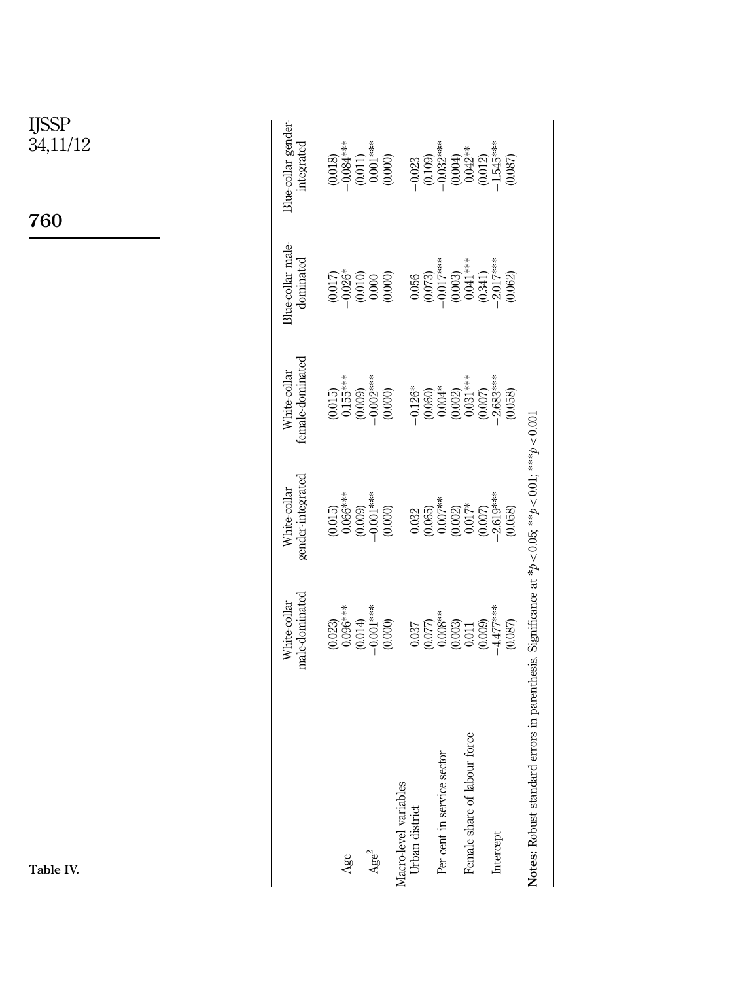|                                 | White-collar        | male-dominated    | $0.096***$<br>(0.023)                              | $-0.001***$<br>(0.014)            | (0.000)   | Macro-level variables<br>Urban district | 0.037                               | $\begin{array}{c} (0.077) \\ 0.008^{***} \\ (0.003) \\ 0.011 \end{array}$<br>Per cent in service sector | Female share of labour force                       | $-4.477***$<br>(0.009)<br>(0.087)   | Notes: Robust standard errors in parenthesis. Significance at * $p < 0.05$ ; ** $p < 0.01$ ; *** $p < 0.001$ |
|---------------------------------|---------------------|-------------------|----------------------------------------------------|-----------------------------------|-----------|-----------------------------------------|-------------------------------------|---------------------------------------------------------------------------------------------------------|----------------------------------------------------|-------------------------------------|--------------------------------------------------------------------------------------------------------------|
|                                 | White-collar        | gender-integrated | $(0.015)$<br>0.066***                              | $-0.001***$<br>(0.009)            | (0.000)   |                                         |                                     | $\begin{array}{c} 0.032 \\ 0.065) \\ 0.007^{***} \\ 0.002) \\ 0.017^{*} \end{array}$                    |                                                    | 2.619***<br>$(0.007)$<br>(0.058)    |                                                                                                              |
|                                 | White-collar        | female-dominated  | $\begin{array}{c} (0.015) \\ 0.155*** \end{array}$ | $-0.002***$<br>(600, 0)           | (0.000)   |                                         | $-0.126*$                           | $\begin{array}{c} (0.060) \\ 0.004* \\ (0.002) \\ 0.031*** \end{array}$                                 |                                                    | 2.683***<br>(0.007)<br>(0.058)      |                                                                                                              |
|                                 | Blue-collar male-   | dominated         | $-0.017$<br>-0.026*                                | $(0.010)$<br>$0.000$<br>$(0.000)$ |           |                                         | $0.056$<br>$(0.073)$<br>$-0.017***$ |                                                                                                         | $\begin{array}{c} (0.003) \\ 0.041*** \end{array}$ | $2.017***$<br>(0.341)<br>(0.062)    |                                                                                                              |
| <b>IJSSP</b><br>34,11/12<br>760 | Blue-collar gender- | integrated        | $-0.084***$<br>(0.018)                             | $0.001***$<br>$(0.011)$           | $(0.000)$ |                                         |                                     | $\begin{array}{c} -0.023 \\ (0.109) \\ -0.032*** \\ (0.004) \\ (0.004) \\ 0.042*** \end{array}$         |                                                    | $-1.545***$<br>$(0.012)$<br>(0.087) |                                                                                                              |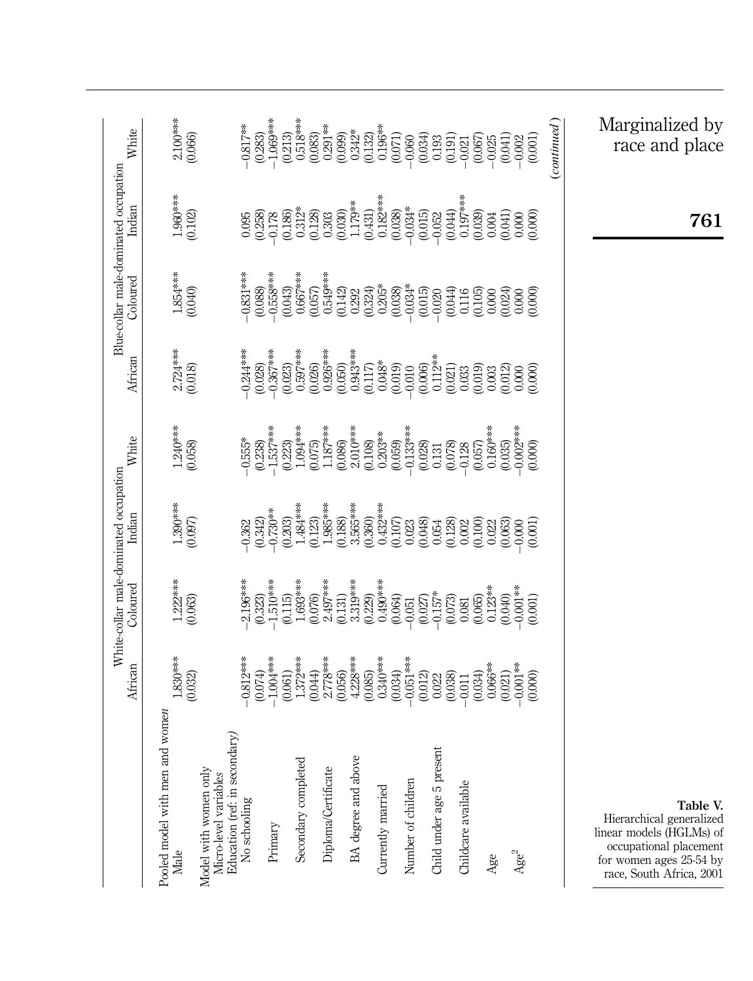|                                                                                                                                       | African                | Coloured                                        | White-collar male-dominated occupation<br>Indian | White                      | African                                            | Coloured                         | Blue-collar male-dominated occupation<br>Indian   | White                                              |
|---------------------------------------------------------------------------------------------------------------------------------------|------------------------|-------------------------------------------------|--------------------------------------------------|----------------------------|----------------------------------------------------|----------------------------------|---------------------------------------------------|----------------------------------------------------|
| Pooled model with men and women<br>Male                                                                                               | 1.830****<br>(0.032)   | $1.222***$<br>(0.063)                           | $1.390***$<br>$(0.097)$                          | $1.240***$<br>$(0.058)$    | $2.724***$<br>(0.018)                              | $1.854***$<br>$(0.040)$          | $1.960***$<br>$(0.102)$                           | $2.100***$<br>(0.066)                              |
| Education (ref: in secondary)<br>Model with women only<br>Micro-level variables                                                       |                        |                                                 |                                                  |                            |                                                    |                                  |                                                   |                                                    |
| No schooling                                                                                                                          | $-0.812***$<br>(0.074) | $-2.196***$<br>(0.323)                          | $-0.362$<br>$(0.342)$                            | $-0.555*$<br>(0.238)       | $0.244***$<br>(0.028)                              | $-0.831***$<br>(0.088)           | (0.258)<br>0.095                                  | $-0.817***$                                        |
| Primary                                                                                                                               | $-1.004***$            | $-1.510***$                                     | $-0.730**$                                       | $-1.537***$                | $-0.367***$                                        | $-0.558***$                      | $-0.178$                                          | $-1.069***$<br>(0.283)                             |
| Secondary completed                                                                                                                   | 1.372****<br>(0.061)   | 1.693***<br>(0.115)                             | $(0.203)$<br>1.484***                            | $\frac{(0.223)}{1.094***}$ | $(0.023)$<br>$0.597***$                            | $0.667***$<br>(0.043)            | $0.312*$<br>(0.186)                               | $\begin{array}{c} (0.213) \\ 0.518*** \end{array}$ |
| Diploma/Certificate                                                                                                                   | 2.778***<br>(0.044)    | $\frac{(0.076)}{2.497}$                         | 1.985***<br>(0.123)                              | $\binom{0.075}{1.187***}$  | $\begin{array}{c} (0.026) \\ 0.926*** \end{array}$ | $(0.057)$<br>0.549***            | (0.128)<br>0.303                                  | $0.291***$<br>(0.083)                              |
| BA degree and above                                                                                                                   | $4.228***$<br>(0.056)  | $3.319***$<br>(0.229)<br>(0.131)                | 3.565****<br>(0.188)                             | $2.010***$<br>(0.086)      | 0.943***<br>(0.050)                                | (0.142)<br>$\frac{0.292}{0.324}$ | $\begin{array}{c} (0.030) \\ 1.179** \end{array}$ | $(0.099)$<br>$0.342*$                              |
| Currently married                                                                                                                     | $0.340***$<br>(0.085)  | $0.490$ ***                                     | $0.432***$<br>(0.360)                            | $0.203**$<br>(0.108)       | $0.048*$<br>(0.117)                                | $\frac{0.205^*}{0.038}$          | $0.182***$<br>(0.431)                             | 0.196**<br>(0.132)                                 |
| Number of children                                                                                                                    | $-0.051***$<br>(0.034) | (0.064)<br>$-0.051$                             | (0.107)<br>0.023                                 | $-0.133***$<br>(0.059)     | (0.019)<br>$-0.010$                                | $-0.034*$                        | $-0.034*$<br>(0.038)                              | (0.071)<br>$-0.060$                                |
| Child under age 5 present                                                                                                             | (0.012)<br>0.022       | $0.027$<br>$-0.157*$                            | (0.048)<br>0.054                                 | (0.028)<br>0.131           | $0.112***$<br>(0.006)                              | (0.015)<br>$-0.020$              | (0.015)<br>$-0.052$                               | (0.034)<br>$\frac{0.193}{0.191}$                   |
| Childcare available                                                                                                                   | (0.038)<br>$-0.011$    | $\begin{array}{c} (0.073) \\ 0.081 \end{array}$ | (0.128)<br>0.002                                 | (0.078)<br>$-0.128$        | (0.021)<br>0.033                                   | (0.044)<br>0.116                 | $0.197***$<br>(0.044)                             | $-0.021$                                           |
|                                                                                                                                       | (0.034)                | (0.065)                                         | (0.100)                                          | (0.057)                    | (0.019)                                            | (0.105)                          | $(0.039)$<br>$0.004$                              | (0.067)                                            |
| Age                                                                                                                                   | $0.066***$<br>(0.021)  | $0.123***$<br>(0.040)                           | (0.063)<br>0.022                                 | $0.160***$<br>(0.035)      | (0.012)<br>0.003                                   | (0.024)<br>0.000                 | (0.041)                                           | (0.041)<br>$-0.025$                                |
| ${\rm Age}^2$                                                                                                                         | $-0.001***$<br>(0.000) | $-0.001**$<br>(0.001)                           | (0.001)<br>$-0.000$                              | $-0.002***$<br>(0.000)     | (0.000)<br>0.000                                   | (0.000)<br>0.000                 | $0.000$<br>$(0.000)$                              | (0.001)<br>$-0.002$                                |
|                                                                                                                                       |                        |                                                 |                                                  |                            |                                                    |                                  |                                                   | (continued)                                        |
|                                                                                                                                       |                        |                                                 |                                                  |                            |                                                    |                                  |                                                   |                                                    |
| Hierarchical generalized<br>linear models (HGLMs) of<br>occupational placement<br>for women ages 25-54 by<br>race, South Africa, 2001 |                        |                                                 |                                                  |                            |                                                    |                                  |                                                   | Marginalized by<br>race and place                  |
|                                                                                                                                       |                        |                                                 |                                                  |                            |                                                    |                                  |                                                   |                                                    |
| Table V.                                                                                                                              |                        |                                                 |                                                  |                            |                                                    |                                  | 761                                               |                                                    |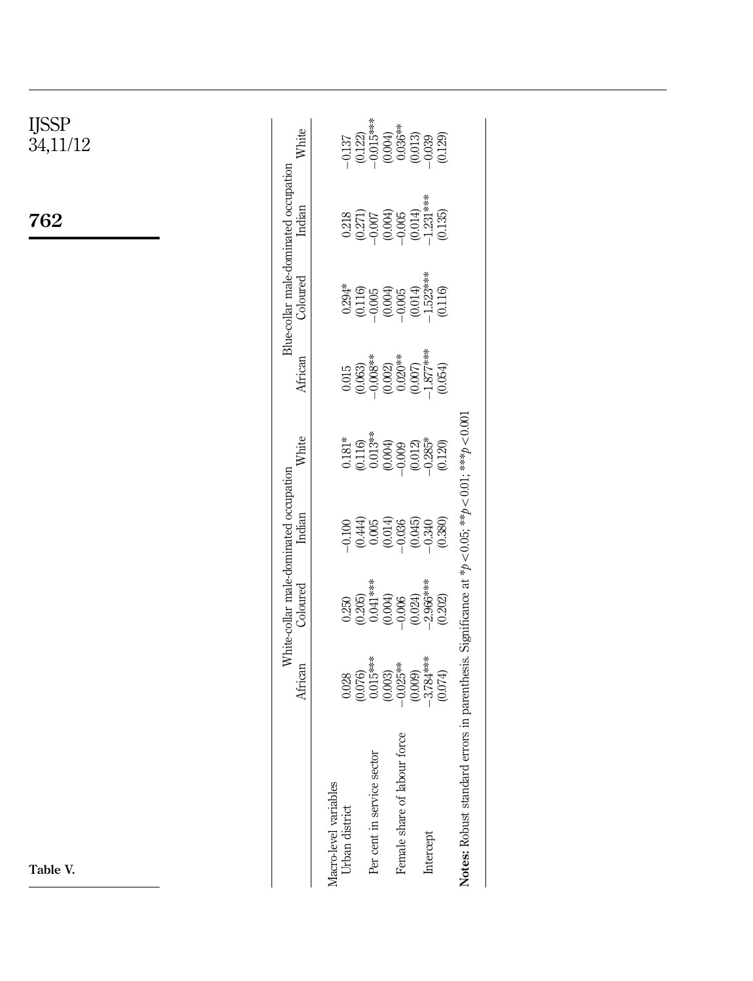| <b>IJSSP</b><br>34,11/12 | White                                             | $-0.015***$<br>$\begin{array}{c} (0.004) \\ 0.036*** \\ (0.013) \end{array}$<br>(0.122)<br>(0.129)<br>$-0.039$<br>$-0.137$                                                                                                         |
|--------------------------|---------------------------------------------------|------------------------------------------------------------------------------------------------------------------------------------------------------------------------------------------------------------------------------------|
| 762                      | Indian                                            | $-0.005$<br>$(0.014)$<br>$-1.231***$<br>$(0.135)$<br>(0.004)<br>(0.271)<br>0.218<br>$-0.007$                                                                                                                                       |
|                          | Blue-collar male-dominated occupation<br>Coloured | $-1.523***$<br>$0.294*$<br>(0.014)<br>(0.004)<br>(0.116)<br>(0.116)<br>$-0.005$<br>$-0.005$                                                                                                                                        |
|                          | African                                           | $-1.877***$<br>(0.054)<br>$-0.008***$<br>$0.020**$<br>(0.063)<br>(0.002)<br>(0.007)<br>0.015                                                                                                                                       |
|                          | White                                             | $\begin{array}{c} (0.116) \\ 0.013*** \end{array}$<br>$-0.009$<br>$-0.012$<br>$-0.285$ *<br>$0.181*$<br>(0.004)<br>(0.120)                                                                                                         |
|                          | White-collar male-dominated occupation<br>Indian  | $-0.340$<br>$(0.380)$<br>$\begin{array}{c} 0.444 \\ 0.005 \end{array}$<br>(0.014)<br>(0.045)<br>$-0.036$<br>$-0.100$                                                                                                               |
|                          | Coloured                                          | $0.041***$<br>$-2.966***$<br>(0.024)<br>(0.205)<br>(0.004)<br>$-0.006$<br>0.250                                                                                                                                                    |
|                          | African                                           | $0.015***$<br>$-3.784***$<br>$-0.025***$<br>(0.076)<br>(0.009)<br>(0.003)<br>(0.074)<br>0.028                                                                                                                                      |
|                          |                                                   |                                                                                                                                                                                                                                    |
|                          |                                                   | Notes: Robust standard errors in parenthesis. Significance at * $p < 0.05$ ; ** $p > 0.01$ ; *** $p < 0.001$<br>Female share of labour force<br>Per cent in service sector<br>Macro-level variables<br>Urban district<br>Intercept |
| Table V.                 |                                                   |                                                                                                                                                                                                                                    |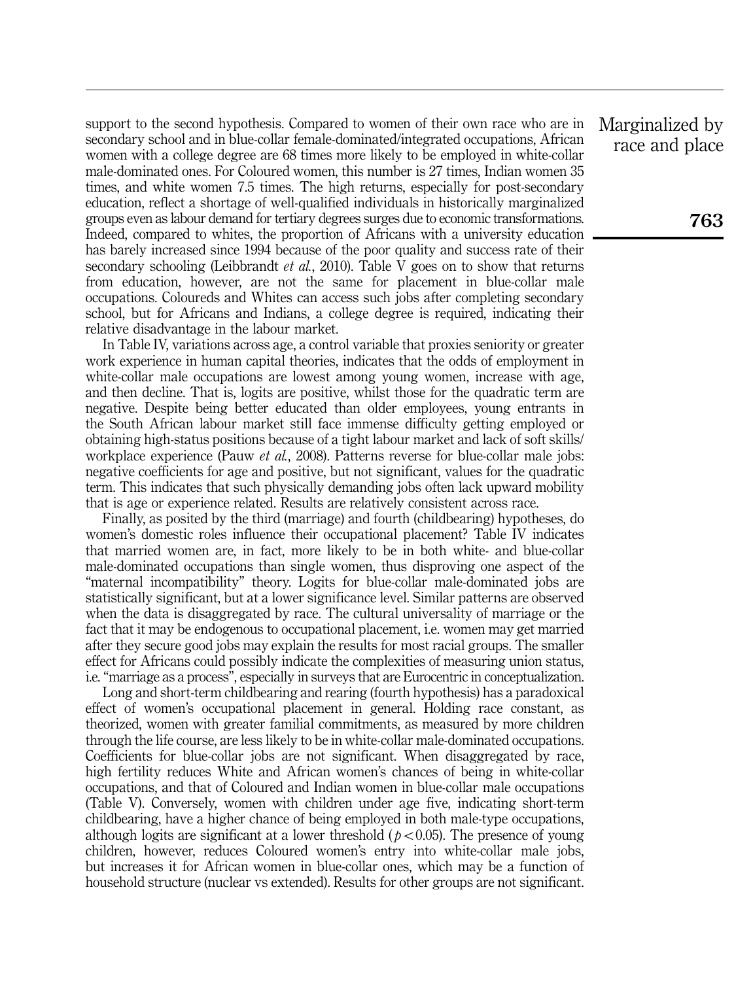support to the second hypothesis. Compared to women of their own race who are in secondary school and in blue-collar female-dominated/integrated occupations, African women with a college degree are 68 times more likely to be employed in white-collar male-dominated ones. For Coloured women, this number is 27 times, Indian women 35 times, and white women 7.5 times. The high returns, especially for post-secondary education, reflect a shortage of well-qualified individuals in historically marginalized groups even as labour demand for tertiary degrees surges due to economic transformations. Indeed, compared to whites, the proportion of Africans with a university education has barely increased since 1994 because of the poor quality and success rate of their secondary schooling (Leibbrandt  $et$   $al$ , 2010). Table V goes on to show that returns from education, however, are not the same for placement in blue-collar male occupations. Coloureds and Whites can access such jobs after completing secondary school, but for Africans and Indians, a college degree is required, indicating their relative disadvantage in the labour market.

In Table IV, variations across age, a control variable that proxies seniority or greater work experience in human capital theories, indicates that the odds of employment in white-collar male occupations are lowest among young women, increase with age, and then decline. That is, logits are positive, whilst those for the quadratic term are negative. Despite being better educated than older employees, young entrants in the South African labour market still face immense difficulty getting employed or obtaining high-status positions because of a tight labour market and lack of soft skills/ workplace experience (Pauw et al., 2008). Patterns reverse for blue-collar male jobs: negative coefficients for age and positive, but not significant, values for the quadratic term. This indicates that such physically demanding jobs often lack upward mobility that is age or experience related. Results are relatively consistent across race.

Finally, as posited by the third (marriage) and fourth (childbearing) hypotheses, do women's domestic roles influence their occupational placement? Table IV indicates that married women are, in fact, more likely to be in both white- and blue-collar male-dominated occupations than single women, thus disproving one aspect of the "maternal incompatibility" theory. Logits for blue-collar male-dominated jobs are statistically significant, but at a lower significance level. Similar patterns are observed when the data is disaggregated by race. The cultural universality of marriage or the fact that it may be endogenous to occupational placement, i.e. women may get married after they secure good jobs may explain the results for most racial groups. The smaller effect for Africans could possibly indicate the complexities of measuring union status, i.e. "marriage as a process", especially in surveys that are Eurocentric in conceptualization.

Long and short-term childbearing and rearing (fourth hypothesis) has a paradoxical effect of women's occupational placement in general. Holding race constant, as theorized, women with greater familial commitments, as measured by more children through the life course, are less likely to be in white-collar male-dominated occupations. Coefficients for blue-collar jobs are not significant. When disaggregated by race, high fertility reduces White and African women's chances of being in white-collar occupations, and that of Coloured and Indian women in blue-collar male occupations (Table V). Conversely, women with children under age five, indicating short-term childbearing, have a higher chance of being employed in both male-type occupations, although logits are significant at a lower threshold ( $p < 0.05$ ). The presence of young children, however, reduces Coloured women's entry into white-collar male jobs, but increases it for African women in blue-collar ones, which may be a function of household structure (nuclear vs extended). Results for other groups are not significant.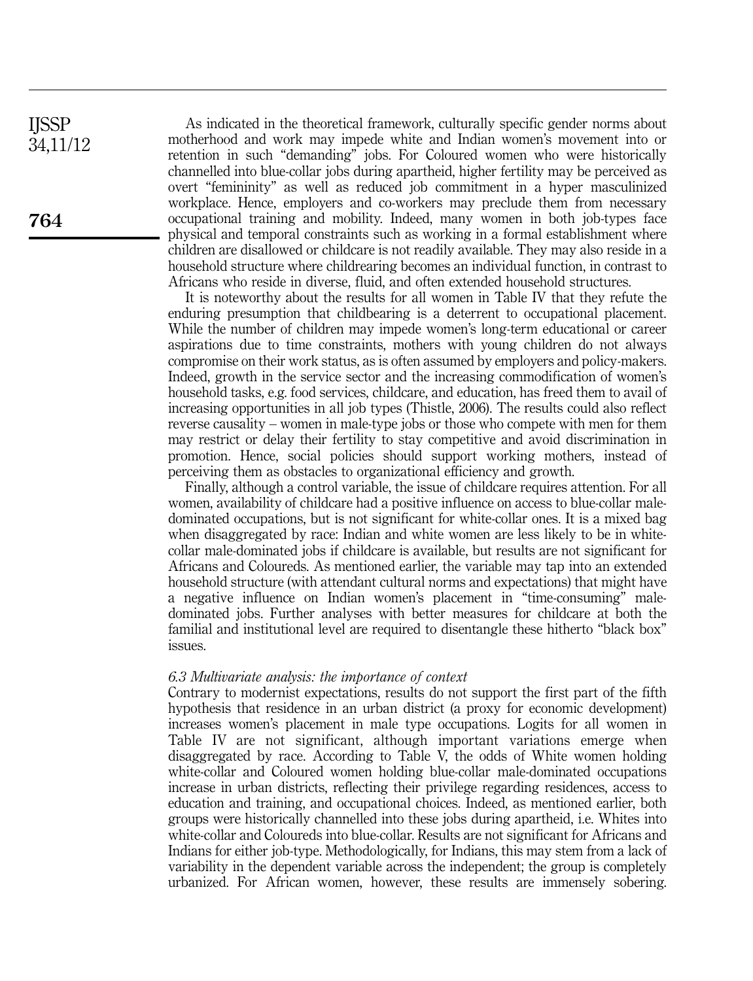As indicated in the theoretical framework, culturally specific gender norms about motherhood and work may impede white and Indian women's movement into or retention in such "demanding" jobs. For Coloured women who were historically channelled into blue-collar jobs during apartheid, higher fertility may be perceived as overt "femininity" as well as reduced job commitment in a hyper masculinized workplace. Hence, employers and co-workers may preclude them from necessary occupational training and mobility. Indeed, many women in both job-types face physical and temporal constraints such as working in a formal establishment where children are disallowed or childcare is not readily available. They may also reside in a household structure where childrearing becomes an individual function, in contrast to Africans who reside in diverse, fluid, and often extended household structures.

It is noteworthy about the results for all women in Table IV that they refute the enduring presumption that childbearing is a deterrent to occupational placement. While the number of children may impede women's long-term educational or career aspirations due to time constraints, mothers with young children do not always compromise on their work status, as is often assumed by employers and policy-makers. Indeed, growth in the service sector and the increasing commodification of women's household tasks, e.g. food services, childcare, and education, has freed them to avail of increasing opportunities in all job types (Thistle, 2006). The results could also reflect reverse causality – women in male-type jobs or those who compete with men for them may restrict or delay their fertility to stay competitive and avoid discrimination in promotion. Hence, social policies should support working mothers, instead of perceiving them as obstacles to organizational efficiency and growth.

Finally, although a control variable, the issue of childcare requires attention. For all women, availability of childcare had a positive influence on access to blue-collar maledominated occupations, but is not significant for white-collar ones. It is a mixed bag when disaggregated by race: Indian and white women are less likely to be in whitecollar male-dominated jobs if childcare is available, but results are not significant for Africans and Coloureds. As mentioned earlier, the variable may tap into an extended household structure (with attendant cultural norms and expectations) that might have a negative influence on Indian women's placement in "time-consuming" maledominated jobs. Further analyses with better measures for childcare at both the familial and institutional level are required to disentangle these hitherto "black box" issues.

#### 6.3 Multivariate analysis: the importance of context

Contrary to modernist expectations, results do not support the first part of the fifth hypothesis that residence in an urban district (a proxy for economic development) increases women's placement in male type occupations. Logits for all women in Table IV are not significant, although important variations emerge when disaggregated by race. According to Table V, the odds of White women holding white-collar and Coloured women holding blue-collar male-dominated occupations increase in urban districts, reflecting their privilege regarding residences, access to education and training, and occupational choices. Indeed, as mentioned earlier, both groups were historically channelled into these jobs during apartheid, i.e. Whites into white-collar and Coloureds into blue-collar. Results are not significant for Africans and Indians for either job-type. Methodologically, for Indians, this may stem from a lack of variability in the dependent variable across the independent; the group is completely urbanized. For African women, however, these results are immensely sobering.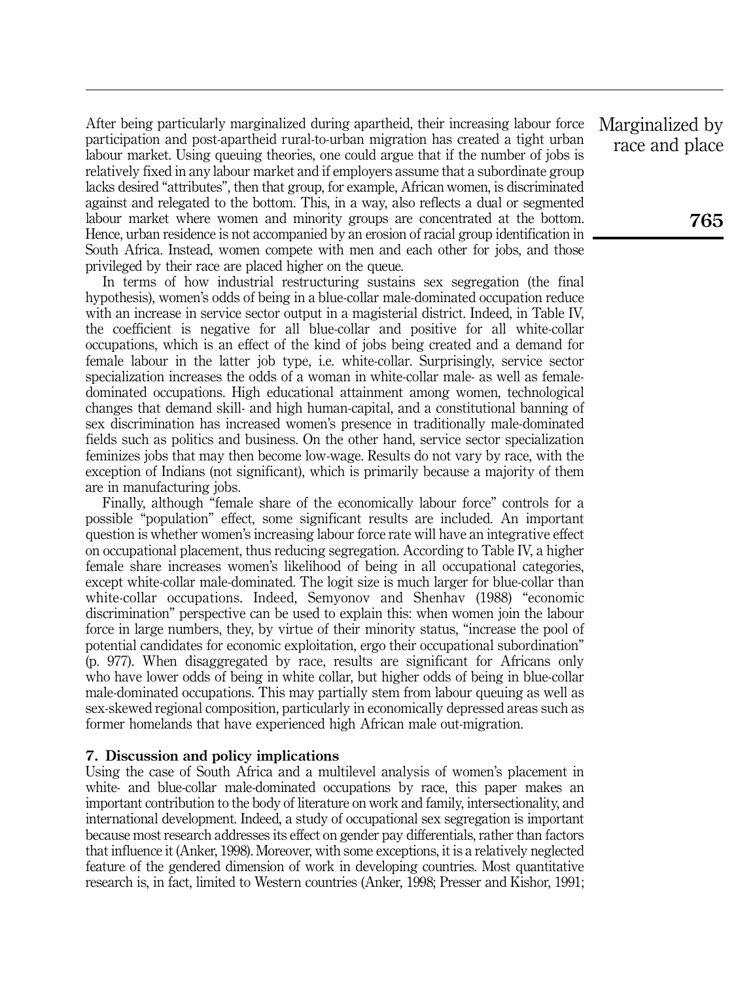After being particularly marginalized during apartheid, their increasing labour force participation and post-apartheid rural-to-urban migration has created a tight urban labour market. Using queuing theories, one could argue that if the number of jobs is relatively fixed in any labour market and if employers assume that a subordinate group lacks desired "attributes", then that group, for example, African women, is discriminated against and relegated to the bottom. This, in a way, also reflects a dual or segmented labour market where women and minority groups are concentrated at the bottom. Hence, urban residence is not accompanied by an erosion of racial group identification in South Africa. Instead, women compete with men and each other for jobs, and those privileged by their race are placed higher on the queue.

In terms of how industrial restructuring sustains sex segregation (the final hypothesis), women's odds of being in a blue-collar male-dominated occupation reduce with an increase in service sector output in a magisterial district. Indeed, in Table IV, the coefficient is negative for all blue-collar and positive for all white-collar occupations, which is an effect of the kind of jobs being created and a demand for female labour in the latter job type, i.e. white-collar. Surprisingly, service sector specialization increases the odds of a woman in white-collar male- as well as femaledominated occupations. High educational attainment among women, technological changes that demand skill- and high human-capital, and a constitutional banning of sex discrimination has increased women's presence in traditionally male-dominated fields such as politics and business. On the other hand, service sector specialization feminizes jobs that may then become low-wage. Results do not vary by race, with the exception of Indians (not significant), which is primarily because a majority of them are in manufacturing jobs.

Finally, although "female share of the economically labour force" controls for a possible "population" effect, some significant results are included. An important question is whether women's increasing labour force rate will have an integrative effect on occupational placement, thus reducing segregation. According to Table IV, a higher female share increases women's likelihood of being in all occupational categories, except white-collar male-dominated. The logit size is much larger for blue-collar than white-collar occupations. Indeed, Semyonov and Shenhav (1988) "economic discrimination" perspective can be used to explain this: when women join the labour force in large numbers, they, by virtue of their minority status, "increase the pool of potential candidates for economic exploitation, ergo their occupational subordination" (p. 977). When disaggregated by race, results are significant for Africans only who have lower odds of being in white collar, but higher odds of being in blue-collar male-dominated occupations. This may partially stem from labour queuing as well as sex-skewed regional composition, particularly in economically depressed areas such as former homelands that have experienced high African male out-migration.

#### 7. Discussion and policy implications

Using the case of South Africa and a multilevel analysis of women's placement in white- and blue-collar male-dominated occupations by race, this paper makes an important contribution to the body of literature on work and family, intersectionality, and international development. Indeed, a study of occupational sex segregation is important because most research addresses its effect on gender pay differentials, rather than factors that influence it (Anker, 1998). Moreover, with some exceptions, it is a relatively neglected feature of the gendered dimension of work in developing countries. Most quantitative research is, in fact, limited to Western countries (Anker, 1998; Presser and Kishor, 1991;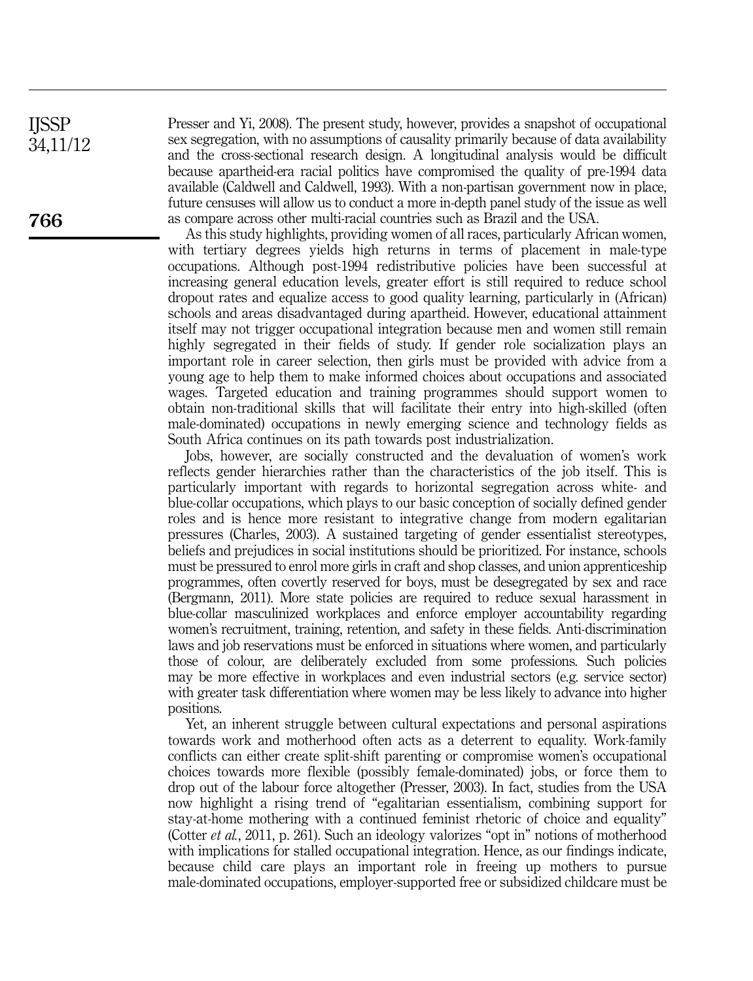Presser and Yi, 2008). The present study, however, provides a snapshot of occupational sex segregation, with no assumptions of causality primarily because of data availability and the cross-sectional research design. A longitudinal analysis would be difficult because apartheid-era racial politics have compromised the quality of pre-1994 data available (Caldwell and Caldwell, 1993). With a non-partisan government now in place, future censuses will allow us to conduct a more in-depth panel study of the issue as well as compare across other multi-racial countries such as Brazil and the USA.

As this study highlights, providing women of all races, particularly African women, with tertiary degrees yields high returns in terms of placement in male-type occupations. Although post-1994 redistributive policies have been successful at increasing general education levels, greater effort is still required to reduce school dropout rates and equalize access to good quality learning, particularly in (African) schools and areas disadvantaged during apartheid. However, educational attainment itself may not trigger occupational integration because men and women still remain highly segregated in their fields of study. If gender role socialization plays an important role in career selection, then girls must be provided with advice from a young age to help them to make informed choices about occupations and associated wages. Targeted education and training programmes should support women to obtain non-traditional skills that will facilitate their entry into high-skilled (often male-dominated) occupations in newly emerging science and technology fields as South Africa continues on its path towards post industrialization.

Jobs, however, are socially constructed and the devaluation of women's work reflects gender hierarchies rather than the characteristics of the job itself. This is particularly important with regards to horizontal segregation across white- and blue-collar occupations, which plays to our basic conception of socially defined gender roles and is hence more resistant to integrative change from modern egalitarian pressures (Charles, 2003). A sustained targeting of gender essentialist stereotypes, beliefs and prejudices in social institutions should be prioritized. For instance, schools must be pressured to enrol more girls in craft and shop classes, and union apprenticeship programmes, often covertly reserved for boys, must be desegregated by sex and race (Bergmann, 2011). More state policies are required to reduce sexual harassment in blue-collar masculinized workplaces and enforce employer accountability regarding women's recruitment, training, retention, and safety in these fields. Anti-discrimination laws and job reservations must be enforced in situations where women, and particularly those of colour, are deliberately excluded from some professions. Such policies may be more effective in workplaces and even industrial sectors (e.g. service sector) with greater task differentiation where women may be less likely to advance into higher positions.

Yet, an inherent struggle between cultural expectations and personal aspirations towards work and motherhood often acts as a deterrent to equality. Work-family conflicts can either create split-shift parenting or compromise women's occupational choices towards more flexible (possibly female-dominated) jobs, or force them to drop out of the labour force altogether (Presser, 2003). In fact, studies from the USA now highlight a rising trend of "egalitarian essentialism, combining support for stay-at-home mothering with a continued feminist rhetoric of choice and equality" (Cotter et al., 2011, p. 261). Such an ideology valorizes "opt in" notions of motherhood with implications for stalled occupational integration. Hence, as our findings indicate, because child care plays an important role in freeing up mothers to pursue male-dominated occupations, employer-supported free or subsidized childcare must be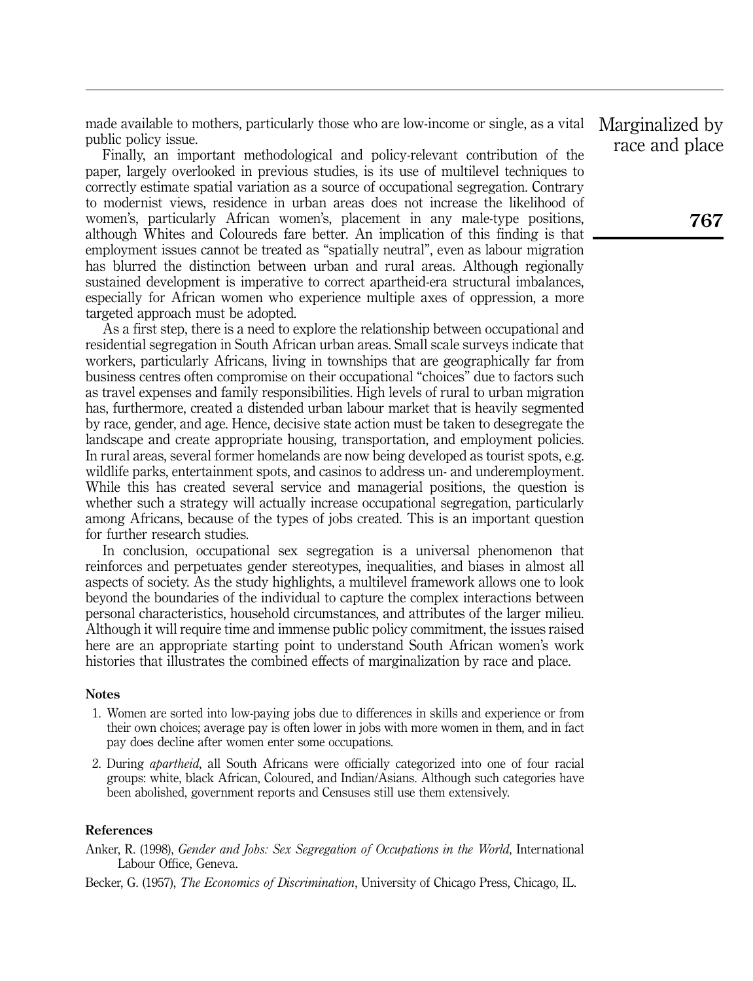made available to mothers, particularly those who are low-income or single, as a vital public policy issue.

Finally, an important methodological and policy-relevant contribution of the paper, largely overlooked in previous studies, is its use of multilevel techniques to correctly estimate spatial variation as a source of occupational segregation. Contrary to modernist views, residence in urban areas does not increase the likelihood of women's, particularly African women's, placement in any male-type positions, although Whites and Coloureds fare better. An implication of this finding is that employment issues cannot be treated as "spatially neutral", even as labour migration has blurred the distinction between urban and rural areas. Although regionally sustained development is imperative to correct apartheid-era structural imbalances, especially for African women who experience multiple axes of oppression, a more targeted approach must be adopted.

As a first step, there is a need to explore the relationship between occupational and residential segregation in South African urban areas. Small scale surveys indicate that workers, particularly Africans, living in townships that are geographically far from business centres often compromise on their occupational "choices" due to factors such as travel expenses and family responsibilities. High levels of rural to urban migration has, furthermore, created a distended urban labour market that is heavily segmented by race, gender, and age. Hence, decisive state action must be taken to desegregate the landscape and create appropriate housing, transportation, and employment policies. In rural areas, several former homelands are now being developed as tourist spots, e.g. wildlife parks, entertainment spots, and casinos to address un- and underemployment. While this has created several service and managerial positions, the question is whether such a strategy will actually increase occupational segregation, particularly among Africans, because of the types of jobs created. This is an important question for further research studies.

In conclusion, occupational sex segregation is a universal phenomenon that reinforces and perpetuates gender stereotypes, inequalities, and biases in almost all aspects of society. As the study highlights, a multilevel framework allows one to look beyond the boundaries of the individual to capture the complex interactions between personal characteristics, household circumstances, and attributes of the larger milieu. Although it will require time and immense public policy commitment, the issues raised here are an appropriate starting point to understand South African women's work histories that illustrates the combined effects of marginalization by race and place.

#### **Notes**

- 1. Women are sorted into low-paying jobs due to differences in skills and experience or from their own choices; average pay is often lower in jobs with more women in them, and in fact pay does decline after women enter some occupations.
- 2. During apartheid, all South Africans were officially categorized into one of four racial groups: white, black African, Coloured, and Indian/Asians. Although such categories have been abolished, government reports and Censuses still use them extensively.

#### References

- Anker, R. (1998), *Gender and Jobs: Sex Segregation of Occupations in the World*, International Labour Office, Geneva.
- Becker, G. (1957), *The Economics of Discrimination*, University of Chicago Press, Chicago, IL.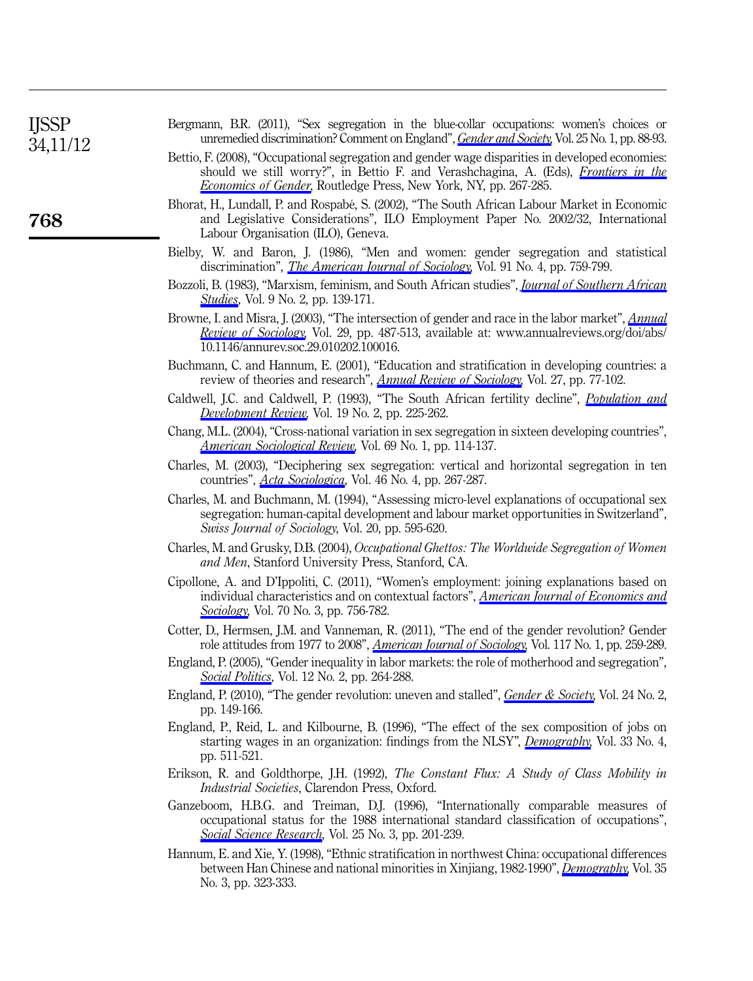| <b>IJSSP</b> | Bergmann, B.R. (2011), "Sex segregation in the blue-collar occupations: women's choices or                                                                                                                                                                                                                                                                          |
|--------------|---------------------------------------------------------------------------------------------------------------------------------------------------------------------------------------------------------------------------------------------------------------------------------------------------------------------------------------------------------------------|
| 34,11/12     | unremedied discrimination? Comment on England", Gender and Society Vol. 25 No. 1, pp. 88-93.<br>Bettio, F. (2008), "Occupational segregation and gender wage disparities in developed economies:<br>should we still worry?", in Bettio F. and Verashchagina, A. (Eds), Frontiers in the<br><i>Economics of Gender</i> , Routledge Press, New York, NY, pp. 267-285. |
| 768          | Bhorat, H., Lundall, P. and Rospabé, S. (2002), "The South African Labour Market in Economic<br>and Legislative Considerations", ILO Employment Paper No. 2002/32, International<br>Labour Organisation (ILO), Geneva.                                                                                                                                              |
|              | Bielby, W. and Baron, J. (1986), "Men and women: gender segregation and statistical<br>discrimination", <i>The American Journal of Sociology</i> , Vol. 91 No. 4, pp. 759-799.                                                                                                                                                                                      |
|              | Bozzoli, B. (1983), "Marxism, feminism, and South African studies", <i>Journal of Southern African</i><br><i>Studies</i> , Vol. 9 No. 2, pp. 139-171.                                                                                                                                                                                                               |
|              | Browne, I. and Misra, J. (2003), "The intersection of gender and race in the labor market", <i>Annual</i><br>Review of Sociology Vol. 29, pp. 487-513, available at: www.annualreviews.org/doi/abs/<br>10.1146/annurev.soc.29.010202.100016.                                                                                                                        |
|              | Buchmann, C. and Hannum, E. (2001), "Education and stratification in developing countries: a<br>review of theories and research", <i>Annual Review of Sociology</i> , Vol. 27, pp. 77-102.                                                                                                                                                                          |
|              | Caldwell, J.C. and Caldwell, P. (1993), "The South African fertility decline", <i>Population and</i><br>Development Review, Vol. 19 No. 2, pp. 225-262.                                                                                                                                                                                                             |
|              | Chang, M.L. (2004), "Cross-national variation in sex segregation in sixteen developing countries",<br>American Sociological Review, Vol. 69 No. 1, pp. 114-137.                                                                                                                                                                                                     |
|              | Charles, M. (2003), "Deciphering sex segregation: vertical and horizontal segregation in ten<br>countries", <i>Acta Sociologica</i> , Vol. 46 No. 4, pp. 267-287.                                                                                                                                                                                                   |
|              | Charles, M. and Buchmann, M. (1994), "Assessing micro-level explanations of occupational sex<br>segregation: human-capital development and labour market opportunities in Switzerland",<br>Swiss Journal of Sociology, Vol. 20, pp. 595-620.                                                                                                                        |
|              | Charles, M. and Grusky, D.B. (2004), Occupational Ghettos: The Worldwide Segregation of Women<br>and Men, Stanford University Press, Stanford, CA.                                                                                                                                                                                                                  |
|              | Cipollone, A. and D'Ippoliti, C. (2011), "Women's employment: joining explanations based on<br>individual characteristics and on contextual factors", American Journal of Economics and<br>Sociology, Vol. 70 No. 3, pp. 756-782.                                                                                                                                   |
|              | Cotter, D., Hermsen, J.M. and Vanneman, R. (2011), "The end of the gender revolution? Gender<br>role attitudes from 1977 to 2008", <i>American Journal of Sociology</i> , Vol. 117 No. 1, pp. 259-289.                                                                                                                                                              |
|              | England, P. (2005), "Gender inequality in labor markets: the role of motherhood and segregation",<br><i>Social Politics</i> , Vol. 12 No. 2, pp. 264-288.                                                                                                                                                                                                           |
|              | England, P. (2010), "The gender revolution: uneven and stalled", Gender & Society, Vol. 24 No. 2,<br>pp. 149-166.                                                                                                                                                                                                                                                   |
|              | England, P., Reid, L. and Kilbourne, B. (1996), "The effect of the sex composition of jobs on<br>starting wages in an organization: findings from the NLSY", <i>Demography</i> , Vol. 33 No. 4,<br>pp. 511-521.                                                                                                                                                     |
|              | Erikson, R. and Goldthorpe, J.H. (1992), The Constant Flux: A Study of Class Mobility in<br>Industrial Societies, Clarendon Press, Oxford.                                                                                                                                                                                                                          |
|              | Ganzeboom, H.B.G. and Treiman, D.J. (1996), "Internationally comparable measures of<br>occupational status for the 1988 international standard classification of occupations",<br>Social Science Research, Vol. 25 No. 3, pp. 201-239.                                                                                                                              |
|              | Hannum, E. and Xie, Y. (1998), "Ethnic stratification in northwest China: occupational differences<br>between Han Chinese and national minorities in Xinjiang, 1982-1990", <i>Demography</i> , Vol. 35<br>No. 3, pp. 323-333.                                                                                                                                       |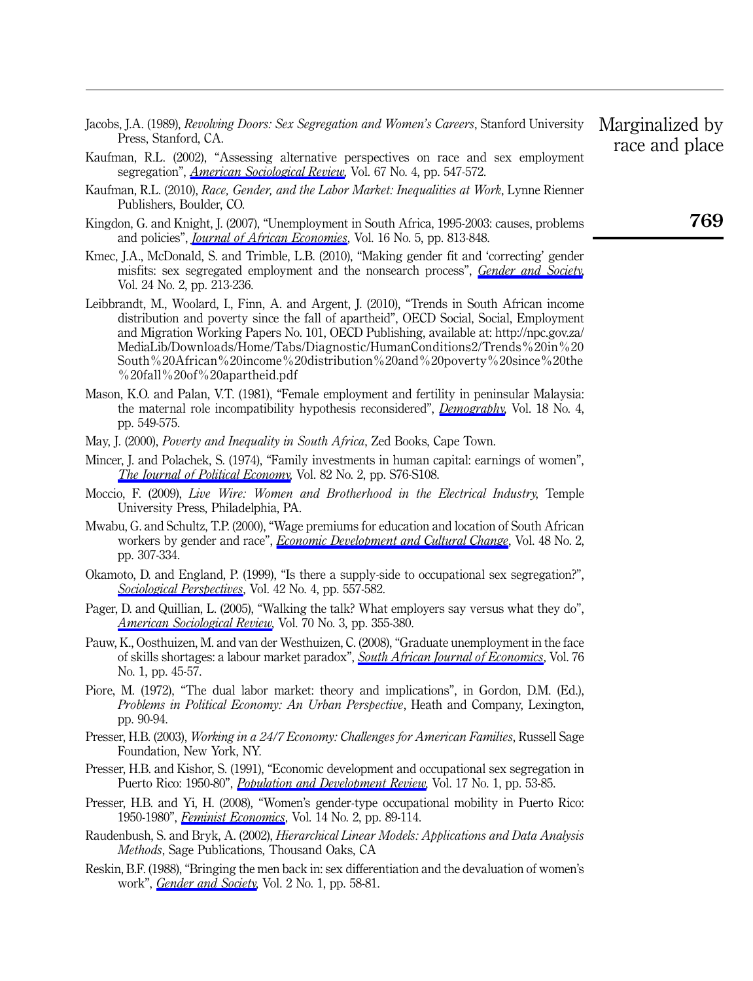- Jacobs, J.A. (1989), Revolving Doors: Sex Segregation and Women's Careers, Stanford University Press, Stanford, CA.
- Kaufman, R.L. (2002), "Assessing alternative perspectives on race and sex employment segregation", [American Sociological Review](http://www.emeraldinsight.com/action/showLinks?crossref=10.2307%2F3088945&isi=000178023000004), Vol. 67 No. 4, pp. 547-572.
- Kaufman, R.L. (2010), Race, Gender, and the Labor Market: Inequalities at Work, Lynne Rienner Publishers, Boulder, CO.
- Kingdon, G. and Knight, J. (2007), "Unemployment in South Africa, 1995-2003: causes, problems and policies", [Journal of African Economies](http://www.emeraldinsight.com/action/showLinks?crossref=10.1093%2Fjae%2Fejm016&isi=000250682200006), Vol. 16 No. 5, pp. 813-848.
- Kmec, J.A., McDonald, S. and Trimble, L.B. (2010), "Making gender fit and 'correcting' gender misfits: sex segregated employment and the nonsearch process", *[Gender and Society](http://www.emeraldinsight.com/action/showLinks?crossref=10.1177%2F0891243209360531&isi=000275756800004)*, Vol. 24 No. 2, pp. 213-236.
- Leibbrandt, M., Woolard, I., Finn, A. and Argent, J. (2010), "Trends in South African income distribution and poverty since the fall of apartheid", OECD Social, Social, Employment and Migration Working Papers No. 101, OECD Publishing, available at: http://npc.gov.za/ MediaLib/Downloads/Home/Tabs/Diagnostic/HumanConditions2/Trends%20in%20 South%20African%20income%20distribution%20and%20poverty%20since%20the %20fall%20of%20apartheid.pdf
- Mason, K.O. and Palan, V.T. (1981), "Female employment and fertility in peninsular Malaysia: the maternal role incompatibility hypothesis reconsidered", [Demography](http://www.emeraldinsight.com/action/showLinks?crossref=10.2307%2F2060947&isi=A1981MT01700007), Vol. 18 No. 4, pp. 549-575.
- May, J. (2000), *Poverty and Inequality in South Africa*, Zed Books, Cape Town.
- Mincer, J. and Polachek, S. (1974), "Family investments in human capital: earnings of women", The *Iournal of Political Economy*, Vol. 82 No. 2, pp. S76-S108.
- Moccio, F. (2009), Live Wire: Women and Brotherhood in the Electrical Industry, Temple University Press, Philadelphia, PA.
- Mwabu, G. and Schultz, T.P. (2000), "Wage premiums for education and location of South African workers by gender and race", *[Economic Development and Cultural Change](http://www.emeraldinsight.com/action/showLinks?crossref=10.1086%2F452460&isi=000085197000005)*, Vol. 48 No. 2, pp. 307-334.
- Okamoto, D. and England, P. (1999), "Is there a supply-side to occupational sex segregation?", [Sociological Perspectives](http://www.emeraldinsight.com/action/showLinks?crossref=10.2307%2F1389574), Vol. 42 No. 4, pp. 557-582.
- Pager, D. and Quillian, L. (2005), "Walking the talk? What employers say versus what they do", [American Sociological Review](http://www.emeraldinsight.com/action/showLinks?crossref=10.1177%2F000312240507000301&isi=000230529700001), Vol. 70 No. 3, pp. 355-380.
- Pauw, K., Oosthuizen, M. and van der Westhuizen, C. (2008), "Graduate unemployment in the face of skills shortages: a labour market paradox", [South African Journal of Economics](http://www.emeraldinsight.com/action/showLinks?crossref=10.1111%2Fj.1813-6982.2008.00152.x&isi=000255265200004), Vol. 76 No. 1, pp. 45-57.
- Piore, M. (1972), "The dual labor market: theory and implications", in Gordon, D.M. (Ed.), Problems in Political Economy: An Urban Perspective, Heath and Company, Lexington, pp. 90-94.
- Presser, H.B. (2003), Working in a 24/7 Economy: Challenges for American Families, Russell Sage Foundation, New York, NY.
- Presser, H.B. and Kishor, S. (1991), "Economic development and occupational sex segregation in Puerto Rico: 1950-80", *[Population and Development Review](http://www.emeraldinsight.com/action/showLinks?crossref=10.2307%2F1972352&isi=A1991FP82100003)*, Vol. 17 No. 1, pp. 53-85.
- Presser, H.B. and Yi, H. (2008), "Women's gender-type occupational mobility in Puerto Rico: 1950-1980", [Feminist Economics](http://www.emeraldinsight.com/action/showLinks?crossref=10.1080%2F13545700701881088&isi=000255689300005), Vol. 14 No. 2, pp. 89-114.
- Raudenbush, S. and Bryk, A. (2002), Hierarchical Linear Models: Applications and Data Analysis Methods, Sage Publications, Thousand Oaks, CA
- Reskin, B.F. (1988), "Bringing the men back in: sex differentiation and the devaluation of women's work", [Gender and Society](http://www.emeraldinsight.com/action/showLinks?crossref=10.1177%2F089124388002001005&isi=000207055000005), Vol. 2 No. 1, pp. 58-81.

769